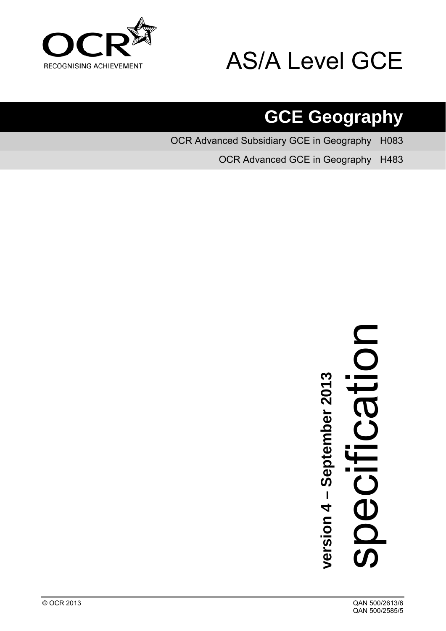

# AS/A Level GCE

# **GCE Geography**

OCR Advanced Subsidiary GCE in Geography H083

OCR Advanced GCE in Geography H483

# **version 4 – September 2013**<br>Specification

<span id="page-0-0"></span>© OCR 2013 QAN 500/2613/6 QAN 500/2585/5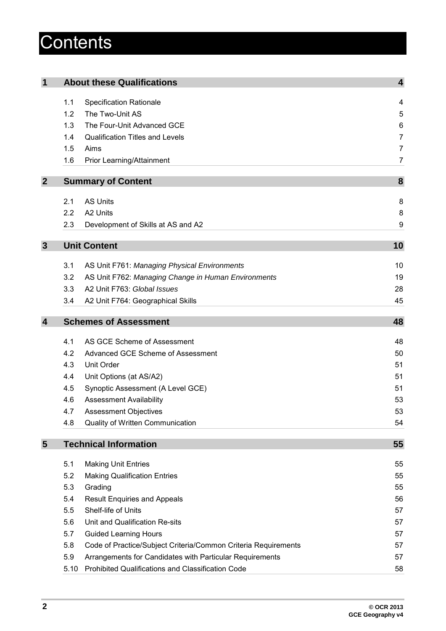# **Contents**

| $\mathbf 1$      |      | <b>About these Qualifications</b>                              | $\overline{\mathbf{4}}$ |
|------------------|------|----------------------------------------------------------------|-------------------------|
|                  | 1.1  | <b>Specification Rationale</b>                                 | 4                       |
|                  | 1.2  | The Two-Unit AS                                                | 5                       |
|                  | 1.3  | The Four-Unit Advanced GCE                                     | 6                       |
|                  | 1.4  | <b>Qualification Titles and Levels</b>                         | $\overline{7}$          |
|                  | 1.5  | Aims                                                           | $\overline{7}$          |
|                  | 1.6  | Prior Learning/Attainment                                      | 7                       |
| $\overline{2}$   |      | <b>Summary of Content</b>                                      | 8                       |
|                  |      |                                                                |                         |
|                  | 2.1  | <b>AS Units</b>                                                | 8                       |
|                  | 2.2  | A2 Units                                                       | 8                       |
|                  | 2.3  | Development of Skills at AS and A2                             | 9                       |
| $\mathbf{3}$     |      | <b>Unit Content</b>                                            | 10                      |
|                  |      |                                                                |                         |
|                  | 3.1  | AS Unit F761: Managing Physical Environments                   | 10                      |
|                  | 3.2  | AS Unit F762: Managing Change in Human Environments            | 19                      |
|                  | 3.3  | A2 Unit F763: Global Issues                                    | 28                      |
|                  | 3.4  | A2 Unit F764: Geographical Skills                              | 45                      |
| $\boldsymbol{4}$ |      | <b>Schemes of Assessment</b>                                   | 48                      |
|                  | 4.1  | AS GCE Scheme of Assessment                                    | 48                      |
|                  | 4.2  | Advanced GCE Scheme of Assessment                              | 50                      |
|                  | 4.3  | <b>Unit Order</b>                                              | 51                      |
|                  | 4.4  | Unit Options (at AS/A2)                                        | 51                      |
|                  | 4.5  | Synoptic Assessment (A Level GCE)                              | 51                      |
|                  | 4.6  | <b>Assessment Availability</b>                                 | 53                      |
|                  | 4.7  | <b>Assessment Objectives</b>                                   | 53                      |
|                  | 4.8  | Quality of Written Communication                               | 54                      |
| 5                |      | <b>Technical Information</b>                                   | 55                      |
|                  |      |                                                                |                         |
|                  | 5.1  | <b>Making Unit Entries</b>                                     | 55                      |
|                  | 5.2  | <b>Making Qualification Entries</b>                            | 55                      |
|                  | 5.3  | Grading                                                        | 55                      |
|                  | 5.4  | <b>Result Enquiries and Appeals</b>                            | 56                      |
|                  | 5.5  | Shelf-life of Units                                            | 57                      |
|                  | 5.6  | Unit and Qualification Re-sits                                 | 57                      |
|                  | 5.7  | <b>Guided Learning Hours</b>                                   | 57                      |
|                  | 5.8  | Code of Practice/Subject Criteria/Common Criteria Requirements | 57                      |
|                  | 5.9  | Arrangements for Candidates with Particular Requirements       | 57                      |
|                  | 5.10 | Prohibited Qualifications and Classification Code              | 58                      |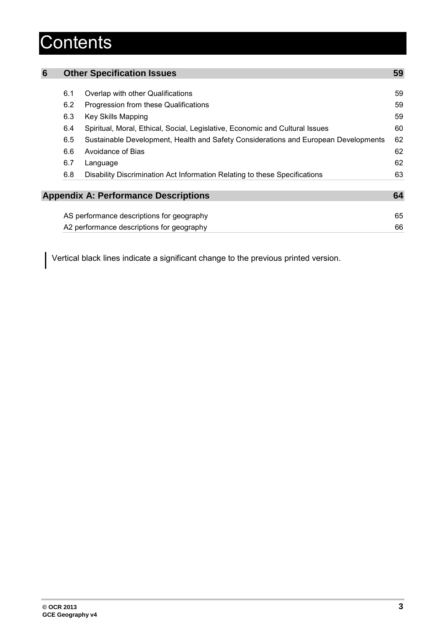# **Contents**

| 6 |     | <b>Other Specification Issues</b>                                                   | 59 |
|---|-----|-------------------------------------------------------------------------------------|----|
|   | 6.1 | Overlap with other Qualifications                                                   | 59 |
|   | 6.2 | Progression from these Qualifications                                               | 59 |
|   | 6.3 | Key Skills Mapping                                                                  | 59 |
|   | 6.4 | Spiritual, Moral, Ethical, Social, Legislative, Economic and Cultural Issues        | 60 |
|   | 6.5 | Sustainable Development, Health and Safety Considerations and European Developments | 62 |
|   | 6.6 | Avoidance of Bias                                                                   | 62 |
|   | 6.7 | Language                                                                            | 62 |
|   | 6.8 | Disability Discrimination Act Information Relating to these Specifications          | 63 |
|   |     |                                                                                     |    |
|   |     | <b>Appendix A: Performance Descriptions</b>                                         | 64 |
|   |     |                                                                                     |    |
|   |     | AS performance descriptions for geography                                           | 65 |
|   |     | A2 performance descriptions for geography                                           | 66 |

Vertical black lines indicate a significant change to the previous printed version.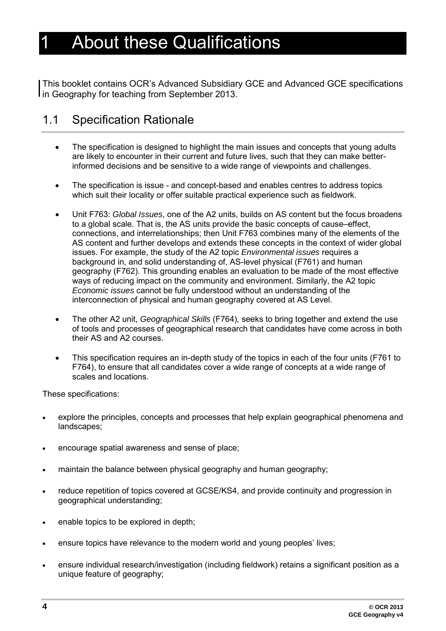# <span id="page-3-0"></span>**About these Qualifications**

This booklet contains OCR's Advanced Subsidiary GCE and Advanced GCE specifications I in Geography for teaching from September 2013.

## <span id="page-3-1"></span>1.1 Specification Rationale

- The specification is designed to highlight the main issues and concepts that young adults are likely to encounter in their current and future lives, such that they can make betterinformed decisions and be sensitive to a wide range of viewpoints and challenges.
- The specification is issue and concept-based and enables centres to address topics which suit their locality or offer suitable practical experience such as fieldwork.
- Unit F763: *Global Issues*, one of the A2 units, builds on AS content but the focus broadens to a global scale. That is, the AS units provide the basic concepts of cause–effect, connections, and interrelationships; then Unit F763 combines many of the elements of the AS content and further develops and extends these concepts in the context of wider global issues. For example, the study of the A2 topic *Environmental issues* requires a background in, and solid understanding of, AS-level physical (F761) and human geography (F762). This grounding enables an evaluation to be made of the most effective ways of reducing impact on the community and environment. Similarly, the A2 topic *Economic issues* cannot be fully understood without an understanding of the interconnection of physical and human geography covered at AS Level.
- The other A2 unit, *Geographical Skills* (F764)*,* seeks to bring together and extend the use of tools and processes of geographical research that candidates have come across in both their AS and A2 courses.
- This specification requires an in-depth study of the topics in each of the four units (F761 to F764), to ensure that all candidates cover a wide range of concepts at a wide range of scales and locations.

These specifications:

- explore the principles, concepts and processes that help explain geographical phenomena and landscapes;
- encourage spatial awareness and sense of place;
- maintain the balance between physical geography and human geography;
- reduce repetition of topics covered at GCSE/KS4, and provide continuity and progression in geographical understanding;
- enable topics to be explored in depth;
- ensure topics have relevance to the modern world and young peoples' lives;
- ensure individual research/investigation (including fieldwork) retains a significant position as a unique feature of geography;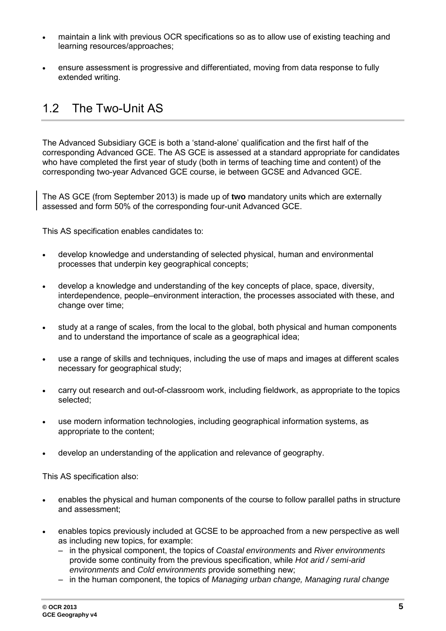- maintain a link with previous OCR specifications so as to allow use of existing teaching and learning resources/approaches;
- ensure assessment is progressive and differentiated, moving from data response to fully extended writing.

## <span id="page-4-0"></span>1.2 The Two-Unit AS

The Advanced Subsidiary GCE is both a 'stand-alone' qualification and the first half of the corresponding Advanced GCE. The AS GCE is assessed at a standard appropriate for candidates who have completed the first year of study (both in terms of teaching time and content) of the corresponding two-year Advanced GCE course, ie between GCSE and Advanced GCE.

The AS GCE (from September 2013) is made up of **two** mandatory units which are externally assessed and form 50% of the corresponding four-unit Advanced GCE.

This AS specification enables candidates to:

- develop knowledge and understanding of selected physical, human and environmental processes that underpin key geographical concepts;
- develop a knowledge and understanding of the key concepts of place, space, diversity, interdependence, people–environment interaction, the processes associated with these, and change over time;
- study at a range of scales, from the local to the global, both physical and human components and to understand the importance of scale as a geographical idea;
- use a range of skills and techniques, including the use of maps and images at different scales necessary for geographical study;
- carry out research and out-of-classroom work, including fieldwork, as appropriate to the topics selected;
- use modern information technologies, including geographical information systems, as appropriate to the content;
- develop an understanding of the application and relevance of geography.

This AS specification also:

- enables the physical and human components of the course to follow parallel paths in structure and assessment;
- enables topics previously included at GCSE to be approached from a new perspective as well as including new topics, for example:
	- in the physical component, the topics of *Coastal environments* and *River environments* provide some continuity from the previous specification, while *Hot arid / semi-arid environments* and *Cold environments* provide something new;
	- in the human component, the topics of *Managing urban change, Managing rural change*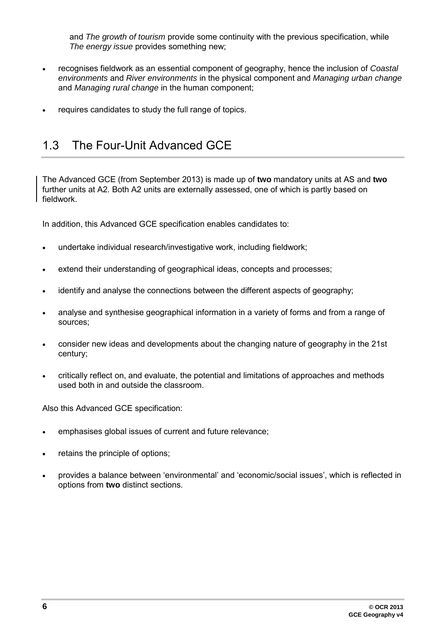and *The growth of tourism* provide some continuity with the previous specification, while *The energy issue* provides something new;

- recognises fieldwork as an essential component of geography, hence the inclusion of *Coastal environments* and *River environments* in the physical component and *Managing urban change* and *Managing rural change* in the human component;
- <span id="page-5-0"></span>requires candidates to study the full range of topics.

## 1.3 The Four-Unit Advanced GCE

The Advanced GCE (from September 2013) is made up of **two** mandatory units at AS and **two** further units at A2. Both A2 units are externally assessed, one of which is partly based on fieldwork.

In addition, this Advanced GCE specification enables candidates to:

- undertake individual research/investigative work, including fieldwork;
- extend their understanding of geographical ideas, concepts and processes;
- identify and analyse the connections between the different aspects of geography;
- analyse and synthesise geographical information in a variety of forms and from a range of sources;
- consider new ideas and developments about the changing nature of geography in the 21st century;
- critically reflect on, and evaluate, the potential and limitations of approaches and methods used both in and outside the classroom.

Also this Advanced GCE specification:

- emphasises global issues of current and future relevance;
- retains the principle of options;
- provides a balance between 'environmental' and 'economic/social issues', which is reflected in options from **two** distinct sections.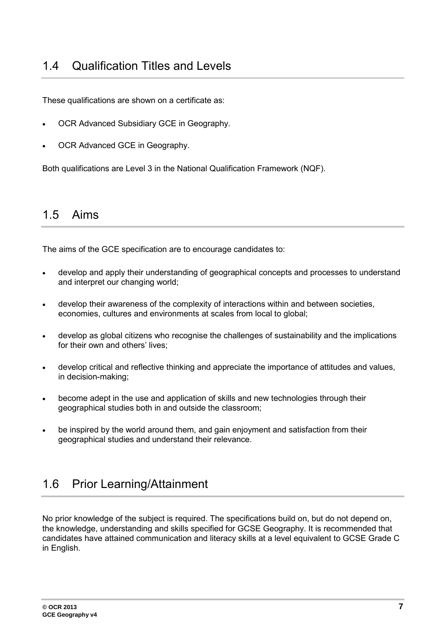<span id="page-6-0"></span>These qualifications are shown on a certificate as:

- OCR Advanced Subsidiary GCE in Geography.
- OCR Advanced GCE in Geography.

<span id="page-6-1"></span>Both qualifications are Level 3 in the National Qualification Framework (NQF).

## 1.5 Aims

The aims of the GCE specification are to encourage candidates to:

- develop and apply their understanding of geographical concepts and processes to understand and interpret our changing world;
- develop their awareness of the complexity of interactions within and between societies, economies, cultures and environments at scales from local to global;
- develop as global citizens who recognise the challenges of sustainability and the implications for their own and others' lives;
- develop critical and reflective thinking and appreciate the importance of attitudes and values, in decision-making;
- become adept in the use and application of skills and new technologies through their geographical studies both in and outside the classroom;
- <span id="page-6-2"></span>be inspired by the world around them, and gain enjoyment and satisfaction from their geographical studies and understand their relevance.

## 1.6 Prior Learning/Attainment

No prior knowledge of the subject is required. The specifications build on, but do not depend on, the knowledge, understanding and skills specified for GCSE Geography. It is recommended that candidates have attained communication and literacy skills at a level equivalent to GCSE Grade C in English.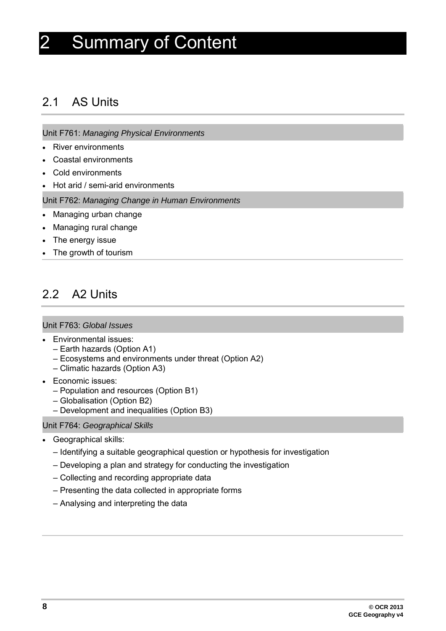# <span id="page-7-0"></span>2 Summary of Content

## <span id="page-7-1"></span>2.1 AS Units

Unit F761: *Managing Physical Environments*

- River environments
- Coastal environments
- Cold environments
- Hot arid / semi-arid environments

Unit F762: *Managing Change in Human Environments*

- Managing urban change
- Managing rural change
- The energy issue
- <span id="page-7-2"></span>• The growth of tourism

## 2.2 A2 Units

#### Unit F763: *Global Issues*

- Environmental issues:
	- Earth hazards (Option A1)
	- Ecosystems and environments under threat (Option A2)
	- Climatic hazards (Option A3)
- Economic issues:
	- Population and resources (Option B1)
	- Globalisation (Option B2)
	- Development and inequalities (Option B3)

#### Unit F764: *Geographical Skills*

- Geographical skills:
	- Identifying a suitable geographical question or hypothesis for investigation
	- Developing a plan and strategy for conducting the investigation
	- Collecting and recording appropriate data
	- Presenting the data collected in appropriate forms
	- Analysing and interpreting the data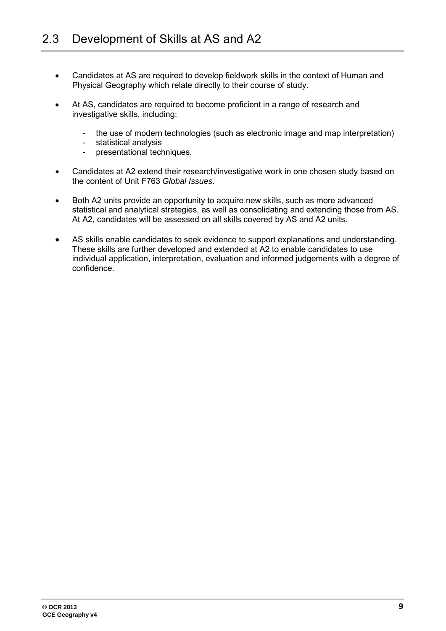- <span id="page-8-0"></span>• Candidates at AS are required to develop fieldwork skills in the context of Human and Physical Geography which relate directly to their course of study.
- At AS, candidates are required to become proficient in a range of research and investigative skills, including:
	- the use of modern technologies (such as electronic image and map interpretation)
	- statistical analysis<br>- presentational tech
	- presentational techniques.
- Candidates at A2 extend their research/investigative work in one chosen study based on the content of Unit F763 *Global Issues*.
- Both A2 units provide an opportunity to acquire new skills, such as more advanced statistical and analytical strategies, as well as consolidating and extending those from AS. At A2, candidates will be assessed on all skills covered by AS and A2 units.
- AS skills enable candidates to seek evidence to support explanations and understanding. These skills are further developed and extended at A2 to enable candidates to use individual application, interpretation, evaluation and informed judgements with a degree of confidence.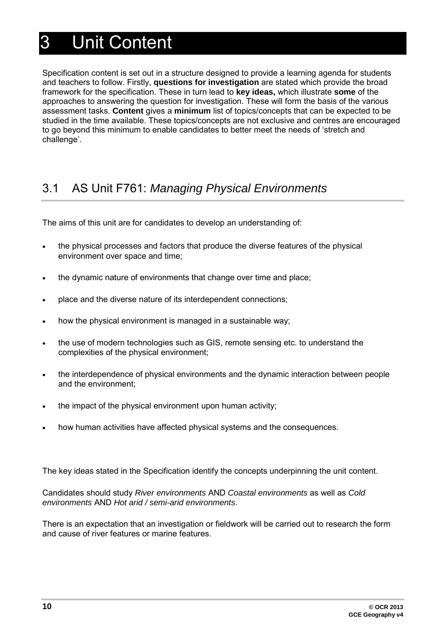# <span id="page-9-0"></span>3 Unit Content

Specification content is set out in a structure designed to provide a learning agenda for students and teachers to follow. Firstly, **questions for investigation** are stated which provide the broad framework for the specification. These in turn lead to **key ideas,** which illustrate **some** of the approaches to answering the question for investigation. These will form the basis of the various assessment tasks. **Content** gives a **minimum** list of topics/concepts that can be expected to be studied in the time available. These topics/concepts are not exclusive and centres are encouraged to go beyond this minimum to enable candidates to better meet the needs of 'stretch and challenge'.

## <span id="page-9-1"></span>3.1 AS Unit F761: *Managing Physical Environments*

The aims of this unit are for candidates to develop an understanding of:

- the physical processes and factors that produce the diverse features of the physical environment over space and time;
- the dynamic nature of environments that change over time and place;
- place and the diverse nature of its interdependent connections;
- how the physical environment is managed in a sustainable way;
- the use of modern technologies such as GIS, remote sensing etc. to understand the complexities of the physical environment;
- the interdependence of physical environments and the dynamic interaction between people and the environment;
- the impact of the physical environment upon human activity;
- how human activities have affected physical systems and the consequences.

The key ideas stated in the Specification identify the concepts underpinning the unit content.

Candidates should study *River environments* AND *Coastal environments* as well as *Cold environments* AND *Hot arid / semi-arid environments*.

There is an expectation that an investigation or fieldwork will be carried out to research the form and cause of river features or marine features.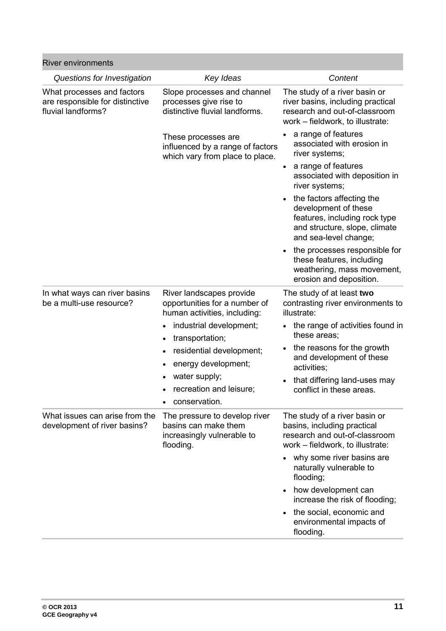| <b>River environments</b>                                                           |                                                                                                                                                      |                                                                                                                                              |
|-------------------------------------------------------------------------------------|------------------------------------------------------------------------------------------------------------------------------------------------------|----------------------------------------------------------------------------------------------------------------------------------------------|
| Questions for Investigation                                                         | Key Ideas                                                                                                                                            | Content                                                                                                                                      |
| What processes and factors<br>are responsible for distinctive<br>fluvial landforms? | Slope processes and channel<br>processes give rise to<br>distinctive fluvial landforms.                                                              | The study of a river basin or<br>river basins, including practical<br>research and out-of-classroom<br>work - fieldwork, to illustrate:      |
|                                                                                     | These processes are<br>influenced by a range of factors<br>which vary from place to place.                                                           | a range of features<br>associated with erosion in<br>river systems;                                                                          |
|                                                                                     |                                                                                                                                                      | a range of features<br>$\bullet$<br>associated with deposition in<br>river systems;                                                          |
|                                                                                     |                                                                                                                                                      | the factors affecting the<br>development of these<br>features, including rock type<br>and structure, slope, climate<br>and sea-level change; |
|                                                                                     |                                                                                                                                                      | the processes responsible for<br>these features, including<br>weathering, mass movement,<br>erosion and deposition.                          |
| In what ways can river basins<br>be a multi-use resource?                           | River landscapes provide<br>opportunities for a number of<br>human activities, including:<br>industrial development;<br>transportation;<br>$\bullet$ | The study of at least two<br>contrasting river environments to<br>illustrate:                                                                |
|                                                                                     |                                                                                                                                                      | the range of activities found in<br>these areas;                                                                                             |
|                                                                                     | residential development;<br>energy development;                                                                                                      | the reasons for the growth<br>and development of these<br>activities;                                                                        |
|                                                                                     | water supply;<br>$\bullet$<br>recreation and leisure;<br>$\bullet$<br>conservation.                                                                  | that differing land-uses may<br>conflict in these areas.                                                                                     |
| What issues can arise from the<br>development of river basins?                      | The pressure to develop river<br>basins can make them<br>increasingly vulnerable to<br>flooding.                                                     | The study of a river basin or<br>basins, including practical<br>research and out-of-classroom<br>work - fieldwork, to illustrate:            |
|                                                                                     |                                                                                                                                                      | why some river basins are<br>naturally vulnerable to<br>flooding;                                                                            |
|                                                                                     |                                                                                                                                                      | how development can<br>increase the risk of flooding;                                                                                        |
|                                                                                     |                                                                                                                                                      | the social, economic and<br>environmental impacts of<br>flooding.                                                                            |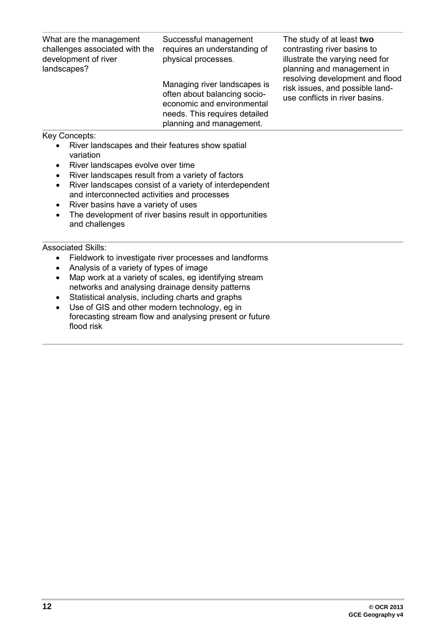| What are the management<br>challenges associated with the<br>development of river<br>landscapes?                                                                                  | Successful management<br>requires an understanding of<br>physical processes.                                                                            | The study of at least two<br>contrasting river basins to<br>illustrate the varying need for<br>planning and management in<br>resolving development and flood<br>risk issues, and possible land-<br>use conflicts in river basins. |
|-----------------------------------------------------------------------------------------------------------------------------------------------------------------------------------|---------------------------------------------------------------------------------------------------------------------------------------------------------|-----------------------------------------------------------------------------------------------------------------------------------------------------------------------------------------------------------------------------------|
|                                                                                                                                                                                   | Managing river landscapes is<br>often about balancing socio-<br>economic and environmental<br>needs. This requires detailed<br>planning and management. |                                                                                                                                                                                                                                   |
| Key Concepts:                                                                                                                                                                     |                                                                                                                                                         |                                                                                                                                                                                                                                   |
| River landscapes and their features show spatial<br>$\bullet$<br>variation<br>River landscapes evolve over time<br>River landscapes result from a variety of factors<br>$\bullet$ |                                                                                                                                                         |                                                                                                                                                                                                                                   |
| $\bullet$                                                                                                                                                                         | River landscapes consist of a variety of interdependent                                                                                                 |                                                                                                                                                                                                                                   |

- and interconnected activities and processes
- River basins have a variety of uses
- The development of river basins result in opportunities and challenges

- Fieldwork to investigate river processes and landforms
- Analysis of a variety of types of image
- Map work at a variety of scales, eg identifying stream networks and analysing drainage density patterns
- Statistical analysis, including charts and graphs<br>• Use of GIS and other modern technology, eg in
- Use of GIS and other modern technology, eg in forecasting stream flow and analysing present or future flood risk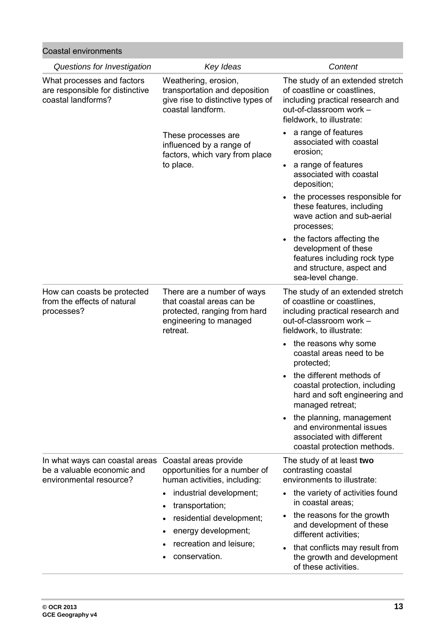| <b>Coastal environments</b>                                                             |                                                                                                                                                                                                                                     |                                                                                                                                                                                                                                                                                                                    |  |
|-----------------------------------------------------------------------------------------|-------------------------------------------------------------------------------------------------------------------------------------------------------------------------------------------------------------------------------------|--------------------------------------------------------------------------------------------------------------------------------------------------------------------------------------------------------------------------------------------------------------------------------------------------------------------|--|
| Questions for Investigation                                                             | Key Ideas                                                                                                                                                                                                                           | Content                                                                                                                                                                                                                                                                                                            |  |
| What processes and factors<br>are responsible for distinctive<br>coastal landforms?     | Weathering, erosion,<br>transportation and deposition<br>give rise to distinctive types of<br>coastal landform.                                                                                                                     | The study of an extended stretch<br>of coastline or coastlines,<br>including practical research and<br>out-of-classroom work -<br>fieldwork, to illustrate:                                                                                                                                                        |  |
|                                                                                         | These processes are<br>influenced by a range of<br>factors, which vary from place<br>to place.                                                                                                                                      | a range of features<br>associated with coastal<br>erosion;                                                                                                                                                                                                                                                         |  |
|                                                                                         |                                                                                                                                                                                                                                     | a range of features<br>associated with coastal<br>deposition;                                                                                                                                                                                                                                                      |  |
|                                                                                         |                                                                                                                                                                                                                                     | the processes responsible for<br>these features, including<br>wave action and sub-aerial<br>processes;                                                                                                                                                                                                             |  |
|                                                                                         |                                                                                                                                                                                                                                     | the factors affecting the<br>development of these<br>features including rock type<br>and structure, aspect and<br>sea-level change.                                                                                                                                                                                |  |
| How can coasts be protected<br>from the effects of natural<br>processes?                | There are a number of ways<br>that coastal areas can be<br>protected, ranging from hard<br>engineering to managed<br>retreat.                                                                                                       | The study of an extended stretch<br>of coastline or coastlines,<br>including practical research and<br>out-of-classroom work -<br>fieldwork, to illustrate:                                                                                                                                                        |  |
|                                                                                         |                                                                                                                                                                                                                                     | the reasons why some<br>coastal areas need to be<br>protected;                                                                                                                                                                                                                                                     |  |
|                                                                                         |                                                                                                                                                                                                                                     | the different methods of<br>coastal protection, including<br>hard and soft engineering and<br>managed retreat;                                                                                                                                                                                                     |  |
|                                                                                         |                                                                                                                                                                                                                                     | the planning, management<br>and environmental issues<br>associated with different<br>coastal protection methods.                                                                                                                                                                                                   |  |
| In what ways can coastal areas<br>be a valuable economic and<br>environmental resource? | Coastal areas provide<br>opportunities for a number of<br>human activities, including:<br>industrial development;<br>transportation;<br>residential development;<br>energy development;<br>recreation and leisure;<br>conservation. | The study of at least two<br>contrasting coastal<br>environments to illustrate:<br>the variety of activities found<br>in coastal areas;<br>the reasons for the growth<br>and development of these<br>different activities;<br>that conflicts may result from<br>the growth and development<br>of these activities. |  |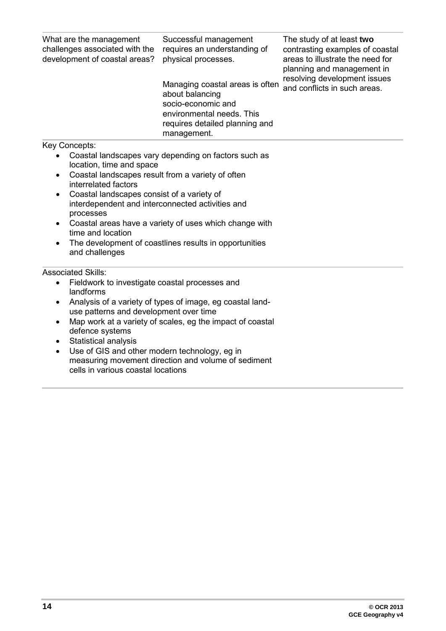| What are the management<br>challenges associated with the<br>development of coastal areas? | Successful management<br>requires an understanding of<br>physical processes.                                                                           | The study of at least two<br>contrasting examples of coastal<br>areas to illustrate the need for<br>planning and management in |  |  |
|--------------------------------------------------------------------------------------------|--------------------------------------------------------------------------------------------------------------------------------------------------------|--------------------------------------------------------------------------------------------------------------------------------|--|--|
|                                                                                            | Managing coastal areas is often<br>about balancing<br>socio-economic and<br>environmental needs. This<br>requires detailed planning and<br>management. | resolving development issues<br>and conflicts in such areas.                                                                   |  |  |
| Key Concepts:                                                                              |                                                                                                                                                        |                                                                                                                                |  |  |
| location, time and space                                                                   | Coastal landscapes vary depending on factors such as                                                                                                   |                                                                                                                                |  |  |
| Coastal landscapes result from a variety of often<br>$\bullet$<br>interrelated factors     |                                                                                                                                                        |                                                                                                                                |  |  |
| $\bullet$                                                                                  | Coastal landscapes consist of a variety of                                                                                                             |                                                                                                                                |  |  |
| interdependent and interconnected activities and<br>processes                              |                                                                                                                                                        |                                                                                                                                |  |  |
| Coastal areas have a variety of uses which change with<br>$\bullet$<br>time and location   |                                                                                                                                                        |                                                                                                                                |  |  |
| The development of coastlines results in opportunities<br>$\bullet$<br>and challenges      |                                                                                                                                                        |                                                                                                                                |  |  |
|                                                                                            |                                                                                                                                                        |                                                                                                                                |  |  |

- Fieldwork to investigate coastal processes and landforms
- Analysis of a variety of types of image, eg coastal landuse patterns and development over time
- Map work at a variety of scales, eg the impact of coastal defence systems
- Statistical analysis
- Use of GIS and other modern technology, eg in measuring movement direction and volume of sediment cells in various coastal locations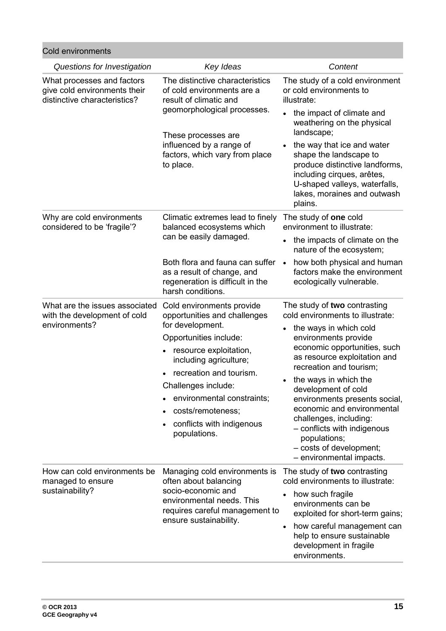| <b>Cold environments</b>                                                                       |                                                                                                                                                                                                 |                                                                                                                                                    |  |
|------------------------------------------------------------------------------------------------|-------------------------------------------------------------------------------------------------------------------------------------------------------------------------------------------------|----------------------------------------------------------------------------------------------------------------------------------------------------|--|
| Questions for Investigation                                                                    | Key Ideas                                                                                                                                                                                       | Content                                                                                                                                            |  |
| What processes and factors<br>give cold environments their<br>distinctive characteristics?     | The distinctive characteristics<br>of cold environments are a<br>result of climatic and<br>geomorphological processes.                                                                          | The study of a cold environment<br>or cold environments to<br>illustrate:<br>the impact of climate and<br>weathering on the physical<br>landscape; |  |
| These processes are<br>influenced by a range of<br>factors, which vary from place<br>to place. | the way that ice and water<br>shape the landscape to<br>produce distinctive landforms,<br>including cirques, arêtes,<br>U-shaped valleys, waterfalls,<br>lakes, moraines and outwash<br>plains. |                                                                                                                                                    |  |
| Why are cold environments<br>considered to be 'fragile'?                                       | Climatic extremes lead to finely<br>balanced ecosystems which<br>can be easily damaged.                                                                                                         | The study of one cold<br>environment to illustrate:                                                                                                |  |
|                                                                                                |                                                                                                                                                                                                 | the impacts of climate on the<br>nature of the ecosystem;                                                                                          |  |
|                                                                                                | Both flora and fauna can suffer<br>as a result of change, and<br>regeneration is difficult in the<br>harsh conditions.                                                                          | how both physical and human<br>$\bullet$<br>factors make the environment<br>ecologically vulnerable.                                               |  |
| What are the issues associated<br>with the development of cold                                 | Cold environments provide<br>opportunities and challenges                                                                                                                                       | The study of two contrasting<br>cold environments to illustrate:                                                                                   |  |
| environments?                                                                                  | for development.<br>Opportunities include:                                                                                                                                                      | the ways in which cold<br>environments provide                                                                                                     |  |
|                                                                                                | resource exploitation,<br>including agriculture;                                                                                                                                                | economic opportunities, such<br>as resource exploitation and                                                                                       |  |
|                                                                                                | recreation and tourism.                                                                                                                                                                         | recreation and tourism;<br>the ways in which the                                                                                                   |  |
|                                                                                                | Challenges include:                                                                                                                                                                             | development of cold                                                                                                                                |  |
|                                                                                                | environmental constraints;                                                                                                                                                                      | environments presents social,<br>economic and environmental                                                                                        |  |
|                                                                                                | costs/remoteness;                                                                                                                                                                               | challenges, including:                                                                                                                             |  |
|                                                                                                | conflicts with indigenous<br>populations.                                                                                                                                                       | - conflicts with indigenous<br>populations;<br>- costs of development;<br>- environmental impacts.                                                 |  |
| How can cold environments be<br>managed to ensure                                              | Managing cold environments is<br>often about balancing<br>socio-economic and<br>environmental needs. This<br>requires careful management to<br>ensure sustainability.                           | The study of two contrasting<br>cold environments to illustrate:                                                                                   |  |
| sustainability?                                                                                |                                                                                                                                                                                                 | how such fragile<br>environments can be<br>exploited for short-term gains;                                                                         |  |
|                                                                                                |                                                                                                                                                                                                 | how careful management can<br>help to ensure sustainable<br>development in fragile<br>environments.                                                |  |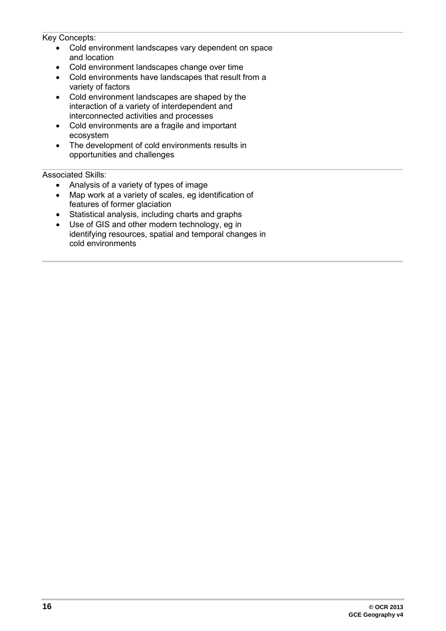Key Concepts:

- Cold environment landscapes vary dependent on space and location
- Cold environment landscapes change over time
- Cold environments have landscapes that result from a variety of factors
- Cold environment landscapes are shaped by the interaction of a variety of interdependent and interconnected activities and processes
- Cold environments are a fragile and important ecosystem
- The development of cold environments results in opportunities and challenges

- Analysis of a variety of types of image
- Map work at a variety of scales, eg identification of features of former glaciation
- Statistical analysis, including charts and graphs
- Use of GIS and other modern technology, eg in identifying resources, spatial and temporal changes in cold environments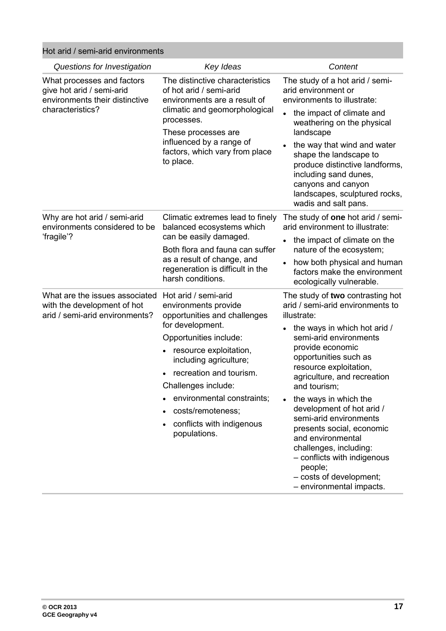Hot arid / semi-arid environments

| Questions for Investigation                                                                                   | Key Ideas                                                                                                                                                                                                                                                                                                                                     | Content                                                                                                                                                                                                                                                                                                                                                                                                                                                                                                                          |
|---------------------------------------------------------------------------------------------------------------|-----------------------------------------------------------------------------------------------------------------------------------------------------------------------------------------------------------------------------------------------------------------------------------------------------------------------------------------------|----------------------------------------------------------------------------------------------------------------------------------------------------------------------------------------------------------------------------------------------------------------------------------------------------------------------------------------------------------------------------------------------------------------------------------------------------------------------------------------------------------------------------------|
| What processes and factors<br>give hot arid / semi-arid<br>environments their distinctive<br>characteristics? | The distinctive characteristics<br>of hot arid / semi-arid<br>environments are a result of<br>climatic and geomorphological<br>processes.<br>These processes are<br>influenced by a range of<br>factors, which vary from place<br>to place.                                                                                                   | The study of a hot arid / semi-<br>arid environment or<br>environments to illustrate:<br>the impact of climate and<br>weathering on the physical<br>landscape<br>the way that wind and water<br>shape the landscape to<br>produce distinctive landforms,<br>including sand dunes,<br>canyons and canyon<br>landscapes, sculptured rocks,                                                                                                                                                                                         |
| Why are hot arid / semi-arid<br>environments considered to be<br>fragile'?                                    | Climatic extremes lead to finely<br>balanced ecosystems which<br>can be easily damaged.<br>Both flora and fauna can suffer<br>as a result of change, and<br>regeneration is difficult in the<br>harsh conditions.                                                                                                                             | wadis and salt pans.<br>The study of one hot arid / semi-<br>arid environment to illustrate:<br>the impact of climate on the<br>nature of the ecosystem;<br>how both physical and human<br>factors make the environment<br>ecologically vulnerable.                                                                                                                                                                                                                                                                              |
| What are the issues associated<br>with the development of hot<br>arid / semi-arid environments?               | Hot arid / semi-arid<br>environments provide<br>opportunities and challenges<br>for development.<br>Opportunities include:<br>resource exploitation,<br>$\bullet$<br>including agriculture;<br>recreation and tourism.<br>Challenges include:<br>environmental constraints;<br>costs/remoteness;<br>conflicts with indigenous<br>populations. | The study of two contrasting hot<br>arid / semi-arid environments to<br>illustrate:<br>the ways in which hot arid /<br>semi-arid environments<br>provide economic<br>opportunities such as<br>resource exploitation,<br>agriculture, and recreation<br>and tourism;<br>the ways in which the<br>development of hot arid /<br>semi-arid environments<br>presents social, economic<br>and environmental<br>challenges, including:<br>- conflicts with indigenous<br>people;<br>- costs of development;<br>- environmental impacts. |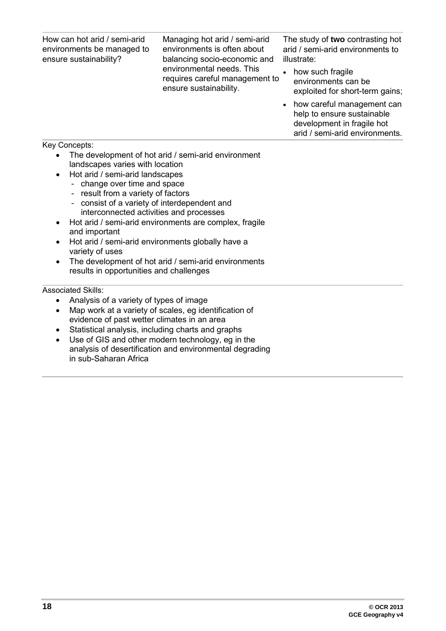How can hot arid / semi-arid environments be managed to ensure sustainability? Managing hot arid / semi-arid environments is often about balancing socio-economic and environmental needs. This requires careful management to ensure sustainability. The study of **two** contrasting hot arid / semi-arid environments to illustrate: how such fragile environments can be exploited for short-term gains; • how careful management can help to ensure sustainable development in fragile hot arid / semi-arid environments.

Key Concepts:

- The development of hot arid / semi-arid environment landscapes varies with location
- Hot arid / semi-arid landscapes
	- change over time and space
	- result from a variety of factors
	- consist of a variety of interdependent and interconnected activities and processes
- Hot arid / semi-arid environments are complex, fragile and important
- Hot arid / semi-arid environments globally have a variety of uses
- The development of hot arid / semi-arid environments results in opportunities and challenges

- Analysis of a variety of types of image
- Map work at a variety of scales, eg identification of evidence of past wetter climates in an area
- Statistical analysis, including charts and graphs
- Use of GIS and other modern technology, eg in the analysis of desertification and environmental degrading in sub-Saharan Africa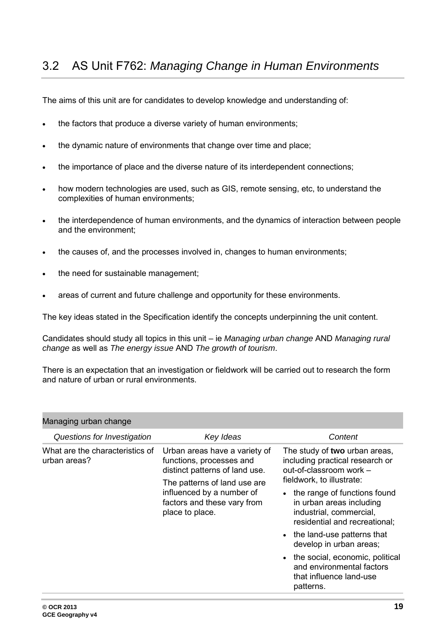<span id="page-18-0"></span>The aims of this unit are for candidates to develop knowledge and understanding of:

- the factors that produce a diverse variety of human environments;
- the dynamic nature of environments that change over time and place;
- the importance of place and the diverse nature of its interdependent connections;
- how modern technologies are used, such as GIS, remote sensing, etc, to understand the complexities of human environments;
- the interdependence of human environments, and the dynamics of interaction between people and the environment;
- the causes of, and the processes involved in, changes to human environments;
- the need for sustainable management;
- areas of current and future challenge and opportunity for these environments.

The key ideas stated in the Specification identify the concepts underpinning the unit content.

Candidates should study all topics in this unit – ie *Managing urban change* AND *Managing rural change* as well as *The energy issue* AND *The growth of tourism*.

There is an expectation that an investigation or fieldwork will be carried out to research the form and nature of urban or rural environments.

| Managing urban change                           |                                                                                                                                                                                                            |                                                                                                                                                                                                                                                  |  |  |
|-------------------------------------------------|------------------------------------------------------------------------------------------------------------------------------------------------------------------------------------------------------------|--------------------------------------------------------------------------------------------------------------------------------------------------------------------------------------------------------------------------------------------------|--|--|
| Questions for Investigation                     | Key Ideas                                                                                                                                                                                                  | Content                                                                                                                                                                                                                                          |  |  |
| What are the characteristics of<br>urban areas? | Urban areas have a variety of<br>functions, processes and<br>distinct patterns of land use.<br>The patterns of land use are<br>influenced by a number of<br>factors and these vary from<br>place to place. | The study of two urban areas,<br>including practical research or<br>out-of-classroom work -<br>fieldwork, to illustrate:<br>the range of functions found<br>in urban areas including<br>industrial, commercial,<br>residential and recreational; |  |  |
|                                                 |                                                                                                                                                                                                            | • the land-use patterns that<br>develop in urban areas;<br>the social, economic, political<br>and environmental factors<br>that influence land-use<br>patterns.                                                                                  |  |  |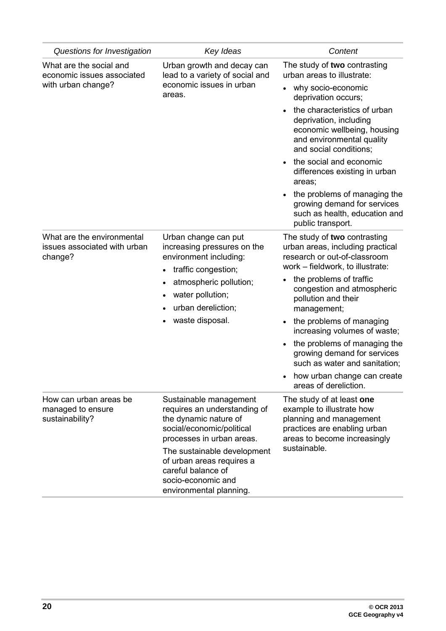| Questions for Investigation                                           | Key Ideas                                                                                                                                                                                          | Content                                                                                                                                           |
|-----------------------------------------------------------------------|----------------------------------------------------------------------------------------------------------------------------------------------------------------------------------------------------|---------------------------------------------------------------------------------------------------------------------------------------------------|
| What are the social and<br>economic issues associated                 | Urban growth and decay can<br>lead to a variety of social and<br>economic issues in urban<br>areas.                                                                                                | The study of two contrasting<br>urban areas to illustrate:                                                                                        |
| with urban change?                                                    |                                                                                                                                                                                                    | why socio-economic<br>deprivation occurs;                                                                                                         |
|                                                                       |                                                                                                                                                                                                    | the characteristics of urban<br>deprivation, including<br>economic wellbeing, housing<br>and environmental quality<br>and social conditions;      |
|                                                                       |                                                                                                                                                                                                    | the social and economic<br>differences existing in urban<br>areas;                                                                                |
|                                                                       |                                                                                                                                                                                                    | the problems of managing the<br>growing demand for services<br>such as health, education and<br>public transport.                                 |
| What are the environmental<br>issues associated with urban<br>change? | Urban change can put<br>increasing pressures on the<br>environment including:<br>traffic congestion;<br>$\bullet$<br>atmospheric pollution;<br>water pollution;<br>$\bullet$<br>urban dereliction; | The study of two contrasting<br>urban areas, including practical<br>research or out-of-classroom<br>work - fieldwork, to illustrate:              |
|                                                                       |                                                                                                                                                                                                    | the problems of traffic<br>congestion and atmospheric<br>pollution and their<br>management;                                                       |
|                                                                       | waste disposal.                                                                                                                                                                                    | the problems of managing<br>increasing volumes of waste;                                                                                          |
|                                                                       |                                                                                                                                                                                                    | the problems of managing the<br>growing demand for services<br>such as water and sanitation;                                                      |
|                                                                       |                                                                                                                                                                                                    | how urban change can create<br>areas of dereliction.                                                                                              |
| How can urban areas be<br>managed to ensure<br>sustainability?        | Sustainable management<br>requires an understanding of<br>the dynamic nature of<br>social/economic/political<br>processes in urban areas.                                                          | The study of at least one<br>example to illustrate how<br>planning and management<br>practices are enabling urban<br>areas to become increasingly |
|                                                                       | The sustainable development<br>of urban areas requires a<br>careful balance of<br>socio-economic and<br>environmental planning.                                                                    | sustainable.                                                                                                                                      |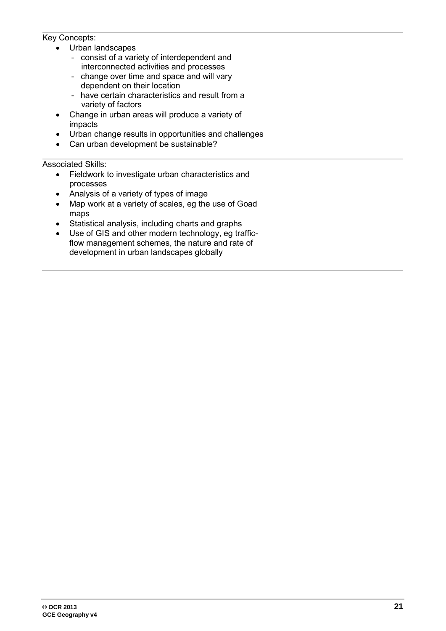#### Key Concepts:

- Urban landscapes
	- consist of a variety of interdependent and interconnected activities and processes
	- change over time and space and will vary dependent on their location
	- have certain characteristics and result from a variety of factors
- Change in urban areas will produce a variety of impacts
- Urban change results in opportunities and challenges
- Can urban development be sustainable?

- Fieldwork to investigate urban characteristics and processes
- Analysis of a variety of types of image
- Map work at a variety of scales, eg the use of Goad maps
- Statistical analysis, including charts and graphs
- Use of GIS and other modern technology, eg trafficflow management schemes, the nature and rate of development in urban landscapes globally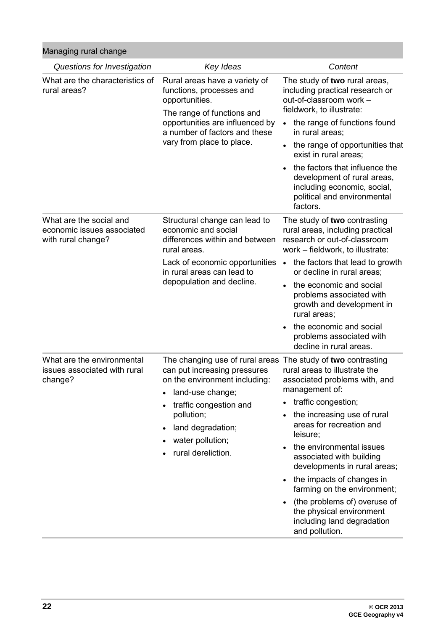Managing rural change

| Questions for Investigation                                                 | Key Ideas                                                                                                                                                                                                                                                | Content                                                                                                                                                                                                                                                                                                                                                                                                                                        |
|-----------------------------------------------------------------------------|----------------------------------------------------------------------------------------------------------------------------------------------------------------------------------------------------------------------------------------------------------|------------------------------------------------------------------------------------------------------------------------------------------------------------------------------------------------------------------------------------------------------------------------------------------------------------------------------------------------------------------------------------------------------------------------------------------------|
| What are the characteristics of<br>rural areas?                             | Rural areas have a variety of<br>functions, processes and<br>opportunities.<br>The range of functions and<br>opportunities are influenced by<br>a number of factors and these<br>vary from place to place.                                               | The study of two rural areas,<br>including practical research or<br>out-of-classroom work -<br>fieldwork, to illustrate:<br>the range of functions found<br>$\bullet$<br>in rural areas;<br>the range of opportunities that<br>exist in rural areas;<br>the factors that influence the<br>development of rural areas,<br>including economic, social,<br>political and environmental<br>factors.                                                |
| What are the social and<br>economic issues associated<br>with rural change? | Structural change can lead to<br>economic and social<br>differences within and between<br>rural areas.<br>Lack of economic opportunities<br>in rural areas can lead to<br>depopulation and decline.                                                      | The study of two contrasting<br>rural areas, including practical<br>research or out-of-classroom<br>work - fieldwork, to illustrate:<br>the factors that lead to growth<br>$\bullet$<br>or decline in rural areas;<br>the economic and social<br>problems associated with<br>growth and development in<br>rural areas;<br>the economic and social<br>problems associated with<br>decline in rural areas.                                       |
| What are the environmental<br>issues associated with rural<br>change?       | The changing use of rural areas The study of two contrasting<br>can put increasing pressures<br>on the environment including:<br>land-use change;<br>traffic congestion and<br>pollution;<br>land degradation;<br>water pollution;<br>rural dereliction. | rural areas to illustrate the<br>associated problems with, and<br>management of:<br>traffic congestion;<br>the increasing use of rural<br>areas for recreation and<br>leisure;<br>the environmental issues<br>associated with building<br>developments in rural areas;<br>the impacts of changes in<br>farming on the environment;<br>(the problems of) overuse of<br>the physical environment<br>including land degradation<br>and pollution. |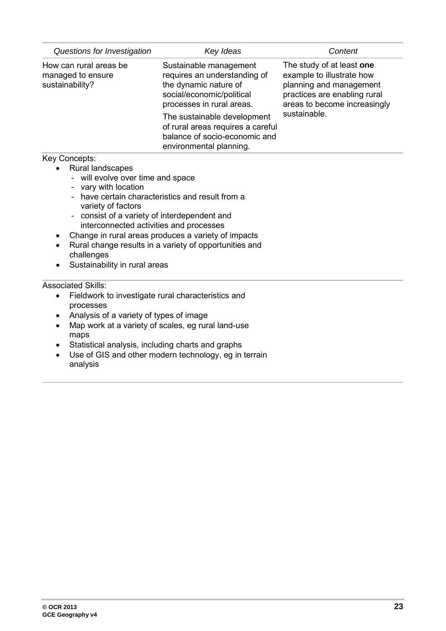| Questions for Investigation                                                                                                                                                                                                                                                                                                                                                                                                          | Key Ideas                                                                                                                                 | Content                                                                                                                                                           |
|--------------------------------------------------------------------------------------------------------------------------------------------------------------------------------------------------------------------------------------------------------------------------------------------------------------------------------------------------------------------------------------------------------------------------------------|-------------------------------------------------------------------------------------------------------------------------------------------|-------------------------------------------------------------------------------------------------------------------------------------------------------------------|
| How can rural areas be<br>managed to ensure<br>sustainability?                                                                                                                                                                                                                                                                                                                                                                       | Sustainable management<br>requires an understanding of<br>the dynamic nature of<br>social/economic/political<br>processes in rural areas. | The study of at least one<br>example to illustrate how<br>planning and management<br>practices are enabling rural<br>areas to become increasingly<br>sustainable. |
|                                                                                                                                                                                                                                                                                                                                                                                                                                      | The sustainable development<br>of rural areas requires a careful<br>balance of socio-economic and<br>environmental planning.              |                                                                                                                                                                   |
| Key Concepts:<br>Rural landscapes<br>- will evolve over time and space<br>vary with location<br>- have certain characteristics and result from a<br>variety of factors<br>consist of a variety of interdependent and<br>interconnected activities and processes<br>Change in rural areas produces a variety of impacts<br>٠<br>Rural change results in a variety of opportunities and<br>challenges<br>Sustainability in rural areas |                                                                                                                                           |                                                                                                                                                                   |
| <b>Associated Skills:</b><br>Fieldwork to investigate rural characteristics and<br>$\bullet$<br>processes<br>Analysis of a variety of types of image<br>٠<br>$\bullet$<br>maps<br>Statistical analysis, including charts and graphs<br>٠<br>$\bullet$<br>analysis                                                                                                                                                                    | Map work at a variety of scales, eg rural land-use<br>Use of GIS and other modern technology, eg in terrain                               |                                                                                                                                                                   |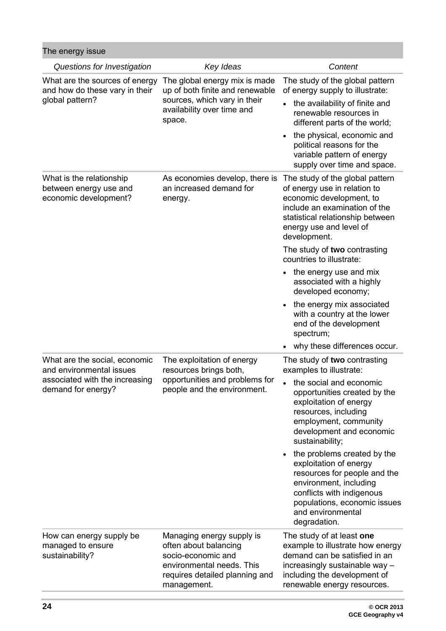| The energy issue                                                                                                  |                                                                                                                                                        |                                                                                                                                                                                                                                                                                         |
|-------------------------------------------------------------------------------------------------------------------|--------------------------------------------------------------------------------------------------------------------------------------------------------|-----------------------------------------------------------------------------------------------------------------------------------------------------------------------------------------------------------------------------------------------------------------------------------------|
| Questions for Investigation                                                                                       | Key Ideas                                                                                                                                              | Content                                                                                                                                                                                                                                                                                 |
| What are the sources of energy<br>and how do these vary in their<br>global pattern?                               | The global energy mix is made<br>up of both finite and renewable<br>sources, which vary in their<br>availability over time and<br>space.               | The study of the global pattern<br>of energy supply to illustrate:<br>the availability of finite and<br>renewable resources in<br>different parts of the world;<br>the physical, economic and<br>political reasons for the<br>variable pattern of energy<br>supply over time and space. |
| What is the relationship<br>between energy use and<br>economic development?                                       | As economies develop, there is<br>an increased demand for<br>energy.                                                                                   | The study of the global pattern<br>of energy use in relation to<br>economic development, to<br>include an examination of the<br>statistical relationship between<br>energy use and level of<br>development.<br>The study of two contrasting<br>countries to illustrate:                 |
|                                                                                                                   |                                                                                                                                                        | the energy use and mix<br>associated with a highly<br>developed economy;                                                                                                                                                                                                                |
|                                                                                                                   |                                                                                                                                                        | the energy mix associated<br>with a country at the lower<br>end of the development<br>spectrum;                                                                                                                                                                                         |
|                                                                                                                   |                                                                                                                                                        | why these differences occur.                                                                                                                                                                                                                                                            |
| What are the social, economic<br>and environmental issues<br>associated with the increasing<br>demand for energy? | The exploitation of energy<br>resources brings both,<br>opportunities and problems for<br>people and the environment.                                  | The study of two contrasting<br>examples to illustrate:                                                                                                                                                                                                                                 |
|                                                                                                                   |                                                                                                                                                        | the social and economic<br>opportunities created by the<br>exploitation of energy<br>resources, including<br>employment, community<br>development and economic<br>sustainability;                                                                                                       |
|                                                                                                                   |                                                                                                                                                        | the problems created by the<br>exploitation of energy<br>resources for people and the<br>environment, including<br>conflicts with indigenous<br>populations, economic issues<br>and environmental<br>degradation.                                                                       |
| How can energy supply be<br>managed to ensure<br>sustainability?                                                  | Managing energy supply is<br>often about balancing<br>socio-economic and<br>environmental needs. This<br>requires detailed planning and<br>management. | The study of at least one<br>example to illustrate how energy<br>demand can be satisfied in an<br>increasingly sustainable way -<br>including the development of<br>renewable energy resources.                                                                                         |
|                                                                                                                   |                                                                                                                                                        |                                                                                                                                                                                                                                                                                         |

п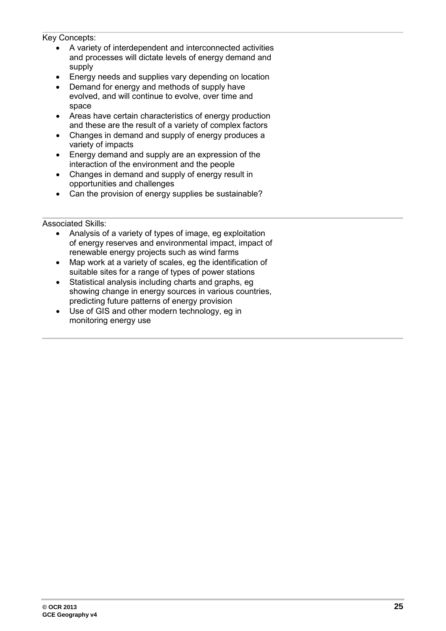Key Concepts:

- A variety of interdependent and interconnected activities and processes will dictate levels of energy demand and supply
- Energy needs and supplies vary depending on location
- Demand for energy and methods of supply have evolved, and will continue to evolve, over time and space
- Areas have certain characteristics of energy production and these are the result of a variety of complex factors
- Changes in demand and supply of energy produces a variety of impacts
- Energy demand and supply are an expression of the interaction of the environment and the people
- Changes in demand and supply of energy result in opportunities and challenges
- Can the provision of energy supplies be sustainable?

- Analysis of a variety of types of image, eg exploitation of energy reserves and environmental impact, impact of renewable energy projects such as wind farms
- Map work at a variety of scales, eg the identification of suitable sites for a range of types of power stations
- Statistical analysis including charts and graphs, eg showing change in energy sources in various countries, predicting future patterns of energy provision
- Use of GIS and other modern technology, eg in monitoring energy use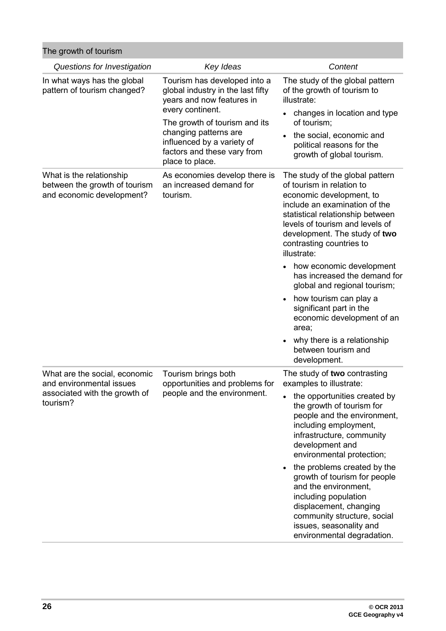| The growth of tourism |  |
|-----------------------|--|
|-----------------------|--|

| 109.9101110110110111                                                                                   |                                                                                                                                        |                                                                                                                                                                                                                                                                              |
|--------------------------------------------------------------------------------------------------------|----------------------------------------------------------------------------------------------------------------------------------------|------------------------------------------------------------------------------------------------------------------------------------------------------------------------------------------------------------------------------------------------------------------------------|
| Questions for Investigation                                                                            | Key Ideas                                                                                                                              | Content                                                                                                                                                                                                                                                                      |
| In what ways has the global<br>pattern of tourism changed?                                             | Tourism has developed into a<br>global industry in the last fifty<br>years and now features in<br>every continent.                     | The study of the global pattern<br>of the growth of tourism to<br>illustrate:<br>changes in location and type                                                                                                                                                                |
|                                                                                                        | The growth of tourism and its<br>changing patterns are<br>influenced by a variety of<br>factors and these vary from<br>place to place. | of tourism;                                                                                                                                                                                                                                                                  |
|                                                                                                        |                                                                                                                                        | the social, economic and<br>political reasons for the<br>growth of global tourism.                                                                                                                                                                                           |
| What is the relationship<br>between the growth of tourism<br>and economic development?                 | As economies develop there is<br>an increased demand for<br>tourism.                                                                   | The study of the global pattern<br>of tourism in relation to<br>economic development, to<br>include an examination of the<br>statistical relationship between<br>levels of tourism and levels of<br>development. The study of two<br>contrasting countries to<br>illustrate: |
|                                                                                                        |                                                                                                                                        | how economic development<br>has increased the demand for<br>global and regional tourism;                                                                                                                                                                                     |
|                                                                                                        |                                                                                                                                        | how tourism can play a<br>significant part in the<br>economic development of an<br>area;                                                                                                                                                                                     |
|                                                                                                        |                                                                                                                                        | why there is a relationship<br>between tourism and<br>development.                                                                                                                                                                                                           |
| What are the social, economic<br>and environmental issues<br>associated with the growth of<br>tourism? | Tourism brings both<br>opportunities and problems for<br>people and the environment.                                                   | The study of two contrasting<br>examples to illustrate:                                                                                                                                                                                                                      |
|                                                                                                        |                                                                                                                                        | the opportunities created by<br>the growth of tourism for<br>people and the environment,<br>including employment,<br>infrastructure, community<br>development and<br>environmental protection;                                                                               |
|                                                                                                        |                                                                                                                                        | the problems created by the<br>growth of tourism for people<br>and the environment,<br>including population<br>displacement, changing<br>community structure, social<br>issues, seasonality and<br>environmental degradation.                                                |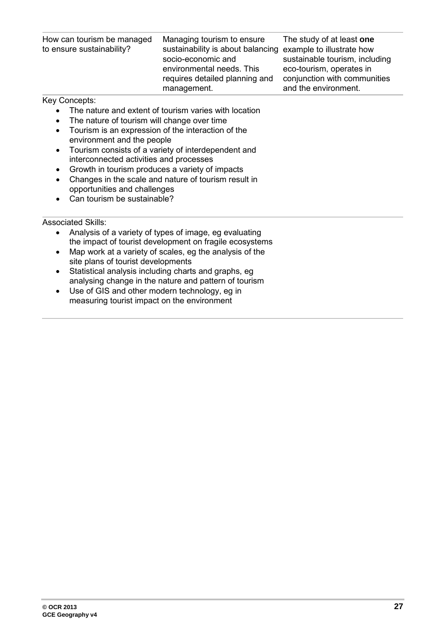| How can tourism be managed<br>to ensure sustainability? | Managing tourism to ensure<br>sustainability is about balancing example to illustrate how<br>socio-economic and<br>environmental needs. This<br>requires detailed planning and | The study of at least one<br>sustainable tourism, including<br>eco-tourism, operates in<br>conjunction with communities |
|---------------------------------------------------------|--------------------------------------------------------------------------------------------------------------------------------------------------------------------------------|-------------------------------------------------------------------------------------------------------------------------|
|                                                         | management.                                                                                                                                                                    | and the environment.                                                                                                    |

#### Key Concepts:

- The nature and extent of tourism varies with location<br>• The nature of tourism will change over time
- The nature of tourism will change over time
- Tourism is an expression of the interaction of the environment and the people
- Tourism consists of a variety of interdependent and interconnected activities and processes
- Growth in tourism produces a variety of impacts
- Changes in the scale and nature of tourism result in opportunities and challenges
- Can tourism be sustainable?

- Analysis of a variety of types of image, eg evaluating the impact of tourist development on fragile ecosystems
- Map work at a variety of scales, eg the analysis of the site plans of tourist developments
- Statistical analysis including charts and graphs, eg analysing change in the nature and pattern of tourism
- Use of GIS and other modern technology, eg in measuring tourist impact on the environment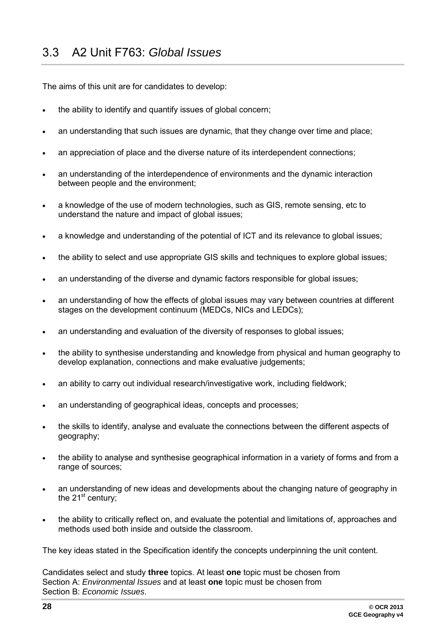<span id="page-27-0"></span>The aims of this unit are for candidates to develop:

- the ability to identify and quantify issues of global concern;
- an understanding that such issues are dynamic, that they change over time and place;
- an appreciation of place and the diverse nature of its interdependent connections;
- an understanding of the interdependence of environments and the dynamic interaction between people and the environment;
- a knowledge of the use of modern technologies, such as GIS, remote sensing, etc to understand the nature and impact of global issues;
- a knowledge and understanding of the potential of ICT and its relevance to global issues;
- the ability to select and use appropriate GIS skills and techniques to explore global issues;
- an understanding of the diverse and dynamic factors responsible for global issues;
- an understanding of how the effects of global issues may vary between countries at different stages on the development continuum (MEDCs, NICs and LEDCs);
- an understanding and evaluation of the diversity of responses to global issues;
- the ability to synthesise understanding and knowledge from physical and human geography to develop explanation, connections and make evaluative judgements;
- an ability to carry out individual research/investigative work, including fieldwork;
- an understanding of geographical ideas, concepts and processes;
- the skills to identify, analyse and evaluate the connections between the different aspects of geography;
- the ability to analyse and synthesise geographical information in a variety of forms and from a range of sources;
- an understanding of new ideas and developments about the changing nature of geography in the  $21^{st}$  century;
- the ability to critically reflect on, and evaluate the potential and limitations of, approaches and methods used both inside and outside the classroom.

The key ideas stated in the Specification identify the concepts underpinning the unit content.

Candidates select and study **three** topics. At least **one** topic must be chosen from Section A: *Environmental Issues* and at least **one** topic must be chosen from Section B: *Economic Issues*.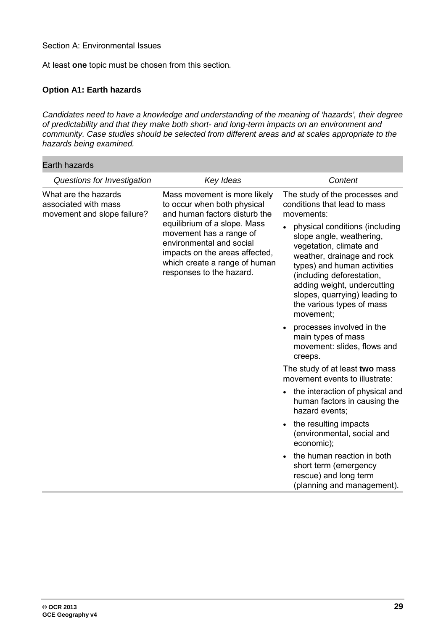Section A: Environmental Issues

At least **one** topic must be chosen from this section*.*

#### **Option A1: Earth hazards**

*Candidates need to have a knowledge and understanding of the meaning of 'hazards', their degree of predictability and that they make both short- and long-term impacts on an environment and community. Case studies should be selected from different areas and at scales appropriate to the hazards being examined.*

| Earth hazards                                                               |                                                                                                                                                                                                                                                                                    |                                                                                                                                                                                                                                                                                                                                                                                                                                                                                                                                                                                                                                                                                                                                                                                                                    |
|-----------------------------------------------------------------------------|------------------------------------------------------------------------------------------------------------------------------------------------------------------------------------------------------------------------------------------------------------------------------------|--------------------------------------------------------------------------------------------------------------------------------------------------------------------------------------------------------------------------------------------------------------------------------------------------------------------------------------------------------------------------------------------------------------------------------------------------------------------------------------------------------------------------------------------------------------------------------------------------------------------------------------------------------------------------------------------------------------------------------------------------------------------------------------------------------------------|
| Questions for Investigation                                                 | Key Ideas                                                                                                                                                                                                                                                                          | Content                                                                                                                                                                                                                                                                                                                                                                                                                                                                                                                                                                                                                                                                                                                                                                                                            |
| What are the hazards<br>associated with mass<br>movement and slope failure? | Mass movement is more likely<br>to occur when both physical<br>and human factors disturb the<br>equilibrium of a slope. Mass<br>movement has a range of<br>environmental and social<br>impacts on the areas affected,<br>which create a range of human<br>responses to the hazard. | The study of the processes and<br>conditions that lead to mass<br>movements:<br>physical conditions (including<br>slope angle, weathering,<br>vegetation, climate and<br>weather, drainage and rock<br>types) and human activities<br>(including deforestation,<br>adding weight, undercutting<br>slopes, quarrying) leading to<br>the various types of mass<br>movement;<br>processes involved in the<br>main types of mass<br>movement: slides, flows and<br>creeps.<br>The study of at least two mass<br>movement events to illustrate:<br>the interaction of physical and<br>human factors in causing the<br>hazard events;<br>the resulting impacts<br>(environmental, social and<br>economic);<br>the human reaction in both<br>short term (emergency<br>rescue) and long term<br>(planning and management). |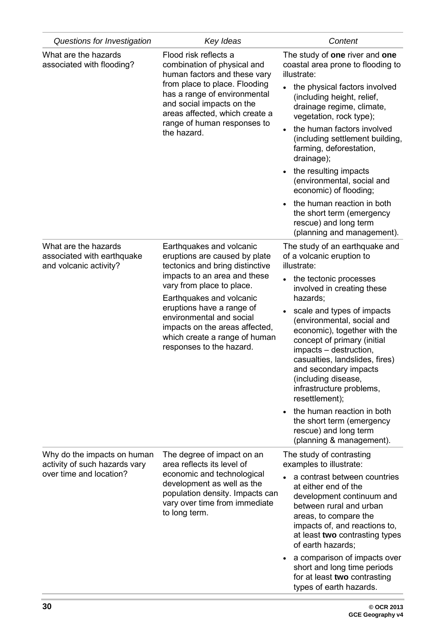| Questions for Investigation                                                  | Key Ideas                                                                                                                                                                                                                                                                                                                                     | Content                                                                                                                                                                                                                                                                           |
|------------------------------------------------------------------------------|-----------------------------------------------------------------------------------------------------------------------------------------------------------------------------------------------------------------------------------------------------------------------------------------------------------------------------------------------|-----------------------------------------------------------------------------------------------------------------------------------------------------------------------------------------------------------------------------------------------------------------------------------|
| What are the hazards<br>associated with flooding?                            | Flood risk reflects a<br>combination of physical and<br>human factors and these vary<br>from place to place. Flooding<br>has a range of environmental<br>and social impacts on the<br>areas affected, which create a<br>range of human responses to<br>the hazard.                                                                            | The study of one river and one<br>coastal area prone to flooding to<br>illustrate:<br>the physical factors involved<br>(including height, relief,<br>drainage regime, climate,<br>vegetation, rock type);                                                                         |
|                                                                              |                                                                                                                                                                                                                                                                                                                                               | the human factors involved<br>(including settlement building,<br>farming, deforestation,<br>drainage);                                                                                                                                                                            |
|                                                                              |                                                                                                                                                                                                                                                                                                                                               | the resulting impacts<br>(environmental, social and<br>economic) of flooding;                                                                                                                                                                                                     |
|                                                                              |                                                                                                                                                                                                                                                                                                                                               | the human reaction in both<br>the short term (emergency<br>rescue) and long term<br>(planning and management).                                                                                                                                                                    |
| What are the hazards<br>associated with earthquake<br>and volcanic activity? | Earthquakes and volcanic<br>eruptions are caused by plate<br>tectonics and bring distinctive<br>impacts to an area and these<br>vary from place to place.<br>Earthquakes and volcanic<br>eruptions have a range of<br>environmental and social<br>impacts on the areas affected,<br>which create a range of human<br>responses to the hazard. | The study of an earthquake and<br>of a volcanic eruption to<br>illustrate:                                                                                                                                                                                                        |
|                                                                              |                                                                                                                                                                                                                                                                                                                                               | the tectonic processes<br>$\bullet$<br>involved in creating these<br>hazards;                                                                                                                                                                                                     |
|                                                                              |                                                                                                                                                                                                                                                                                                                                               | scale and types of impacts<br>(environmental, social and<br>economic), together with the<br>concept of primary (initial<br>impacts - destruction,<br>casualties, landslides, fires)<br>and secondary impacts<br>(including disease,<br>infrastructure problems,<br>resettlement); |
|                                                                              |                                                                                                                                                                                                                                                                                                                                               | the human reaction in both<br>the short term (emergency<br>rescue) and long term<br>(planning & management).                                                                                                                                                                      |
| Why do the impacts on human<br>activity of such hazards vary                 | The degree of impact on an<br>area reflects its level of                                                                                                                                                                                                                                                                                      | The study of contrasting<br>examples to illustrate:                                                                                                                                                                                                                               |
| over time and location?                                                      | economic and technological<br>development as well as the<br>population density. Impacts can<br>vary over time from immediate<br>to long term.                                                                                                                                                                                                 | a contrast between countries<br>at either end of the<br>development continuum and<br>between rural and urban<br>areas, to compare the<br>impacts of, and reactions to,<br>at least two contrasting types<br>of earth hazards;                                                     |
|                                                                              |                                                                                                                                                                                                                                                                                                                                               | a comparison of impacts over<br>short and long time periods<br>for at least two contrasting<br>types of earth hazards.                                                                                                                                                            |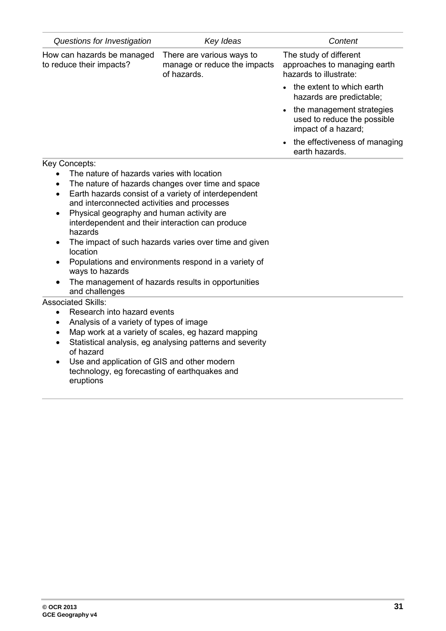| Questions for Investigation                                                                                                                                                                                                                                                                                                                                                                                                                                                                                                                                                       | Key Ideas                                                                | Content                                                                          |
|-----------------------------------------------------------------------------------------------------------------------------------------------------------------------------------------------------------------------------------------------------------------------------------------------------------------------------------------------------------------------------------------------------------------------------------------------------------------------------------------------------------------------------------------------------------------------------------|--------------------------------------------------------------------------|----------------------------------------------------------------------------------|
| How can hazards be managed<br>to reduce their impacts?                                                                                                                                                                                                                                                                                                                                                                                                                                                                                                                            | There are various ways to<br>manage or reduce the impacts<br>of hazards. | The study of different<br>approaches to managing earth<br>hazards to illustrate: |
|                                                                                                                                                                                                                                                                                                                                                                                                                                                                                                                                                                                   |                                                                          | the extent to which earth<br>hazards are predictable;                            |
|                                                                                                                                                                                                                                                                                                                                                                                                                                                                                                                                                                                   |                                                                          | the management strategies<br>used to reduce the possible<br>impact of a hazard;  |
|                                                                                                                                                                                                                                                                                                                                                                                                                                                                                                                                                                                   |                                                                          | the effectiveness of managing<br>earth hazards.                                  |
| Key Concepts:                                                                                                                                                                                                                                                                                                                                                                                                                                                                                                                                                                     |                                                                          |                                                                                  |
| The nature of hazards varies with location<br>The nature of hazards changes over time and space<br>$\bullet$<br>Earth hazards consist of a variety of interdependent<br>$\bullet$<br>and interconnected activities and processes<br>Physical geography and human activity are<br>interdependent and their interaction can produce<br>hazards<br>The impact of such hazards varies over time and given<br>$\bullet$<br>location<br>Populations and environments respond in a variety of<br>ways to hazards<br>The management of hazards results in opportunities<br>and challenges |                                                                          |                                                                                  |
| <b>Associated Skills:</b><br>Research into hazard events<br>$\bullet$                                                                                                                                                                                                                                                                                                                                                                                                                                                                                                             |                                                                          |                                                                                  |
| Analysis of a variety of types of image<br>$\bullet$                                                                                                                                                                                                                                                                                                                                                                                                                                                                                                                              |                                                                          |                                                                                  |
| $\bullet$                                                                                                                                                                                                                                                                                                                                                                                                                                                                                                                                                                         | Map work at a variety of scales, eg hazard mapping                       |                                                                                  |
| of hazard                                                                                                                                                                                                                                                                                                                                                                                                                                                                                                                                                                         | Statistical analysis, eg analysing patterns and severity                 |                                                                                  |
| Use and application of GIS and other modern                                                                                                                                                                                                                                                                                                                                                                                                                                                                                                                                       |                                                                          |                                                                                  |

technology, eg forecasting of earthquakes and eruptions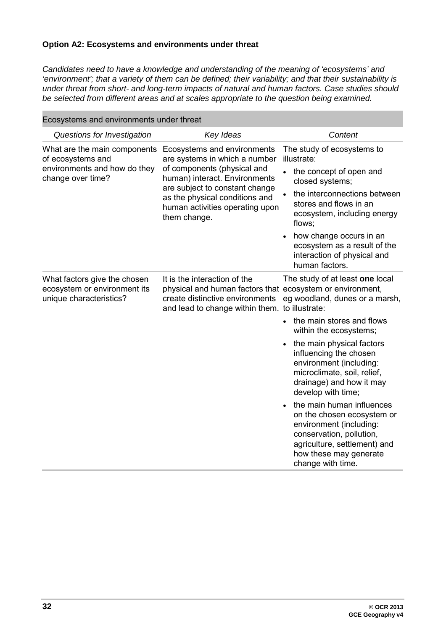#### **Option A2: Ecosystems and environments under threat**

*Candidates need to have a knowledge and understanding of the meaning of 'ecosystems' and 'environment'; that a variety of them can be defined; their variability; and that their sustainability is under threat from short- and long-term impacts of natural and human factors. Case studies should be selected from different areas and at scales appropriate to the question being examined.*

| secreting and christments and the day                                                   |                                                                                                                                                                                                                                                     |                                                                                                                                                                                               |
|-----------------------------------------------------------------------------------------|-----------------------------------------------------------------------------------------------------------------------------------------------------------------------------------------------------------------------------------------------------|-----------------------------------------------------------------------------------------------------------------------------------------------------------------------------------------------|
| Questions for Investigation                                                             | Key Ideas                                                                                                                                                                                                                                           | Content                                                                                                                                                                                       |
| What are the main components<br>of ecosystems and                                       | Ecosystems and environments<br>are systems in which a number<br>of components (physical and<br>human) interact. Environments<br>are subject to constant change<br>as the physical conditions and<br>human activities operating upon<br>them change. | The study of ecosystems to<br>illustrate:                                                                                                                                                     |
| environments and how do they<br>change over time?                                       |                                                                                                                                                                                                                                                     | the concept of open and<br>$\bullet$<br>closed systems;                                                                                                                                       |
|                                                                                         |                                                                                                                                                                                                                                                     | the interconnections between<br>stores and flows in an<br>ecosystem, including energy<br>flows;                                                                                               |
|                                                                                         |                                                                                                                                                                                                                                                     | how change occurs in an<br>ecosystem as a result of the<br>interaction of physical and<br>human factors.                                                                                      |
| What factors give the chosen<br>ecosystem or environment its<br>unique characteristics? | It is the interaction of the<br>physical and human factors that ecosystem or environment,<br>create distinctive environments<br>and lead to change within them. to illustrate:                                                                      | The study of at least one local<br>eg woodland, dunes or a marsh,                                                                                                                             |
|                                                                                         |                                                                                                                                                                                                                                                     | the main stores and flows<br>within the ecosystems;                                                                                                                                           |
|                                                                                         |                                                                                                                                                                                                                                                     | the main physical factors<br>influencing the chosen<br>environment (including:<br>microclimate, soil, relief,<br>drainage) and how it may<br>develop with time;                               |
|                                                                                         |                                                                                                                                                                                                                                                     | the main human influences<br>on the chosen ecosystem or<br>environment (including:<br>conservation, pollution,<br>agriculture, settlement) and<br>how these may generate<br>change with time. |

Ecosystems and environments under threat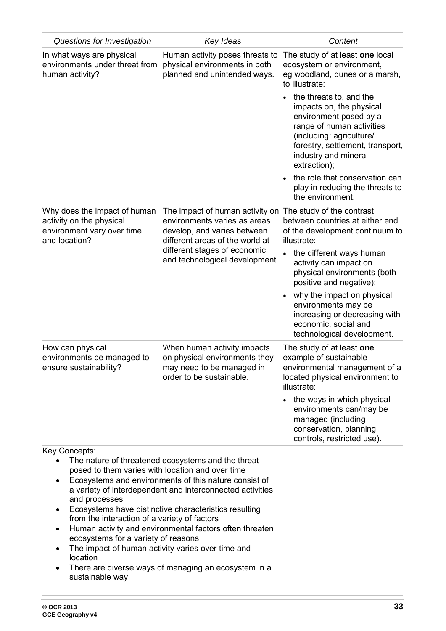| Questions for Investigation                                                                             | Key Ideas                                                                                                                                                                                           | Content                                                                                                                                                                                                            |
|---------------------------------------------------------------------------------------------------------|-----------------------------------------------------------------------------------------------------------------------------------------------------------------------------------------------------|--------------------------------------------------------------------------------------------------------------------------------------------------------------------------------------------------------------------|
| In what ways are physical<br>environments under threat from<br>human activity?                          | Human activity poses threats to<br>physical environments in both<br>planned and unintended ways.                                                                                                    | The study of at least one local<br>ecosystem or environment,<br>eg woodland, dunes or a marsh,<br>to illustrate:                                                                                                   |
|                                                                                                         |                                                                                                                                                                                                     | the threats to, and the<br>impacts on, the physical<br>environment posed by a<br>range of human activities<br>(including: agriculture/<br>forestry, settlement, transport,<br>industry and mineral<br>extraction); |
|                                                                                                         |                                                                                                                                                                                                     | the role that conservation can<br>play in reducing the threats to<br>the environment.                                                                                                                              |
| Why does the impact of human<br>activity on the physical<br>environment vary over time<br>and location? | The impact of human activity on<br>environments varies as areas<br>develop, and varies between<br>different areas of the world at<br>different stages of economic<br>and technological development. | The study of the contrast<br>between countries at either end<br>of the development continuum to<br>illustrate:                                                                                                     |
|                                                                                                         |                                                                                                                                                                                                     | the different ways human<br>activity can impact on<br>physical environments (both<br>positive and negative);                                                                                                       |
|                                                                                                         |                                                                                                                                                                                                     | why the impact on physical<br>environments may be<br>increasing or decreasing with<br>economic, social and<br>technological development.                                                                           |
| How can physical<br>environments be managed to<br>ensure sustainability?                                | When human activity impacts<br>on physical environments they<br>may need to be managed in<br>order to be sustainable.                                                                               | The study of at least one<br>example of sustainable<br>environmental management of a<br>located physical environment to<br>illustrate:                                                                             |
|                                                                                                         |                                                                                                                                                                                                     | • the ways in which physical<br>environments can/may be<br>managed (including<br>conservation, planning<br>controls, restricted use).                                                                              |
| <b>Key Concepts:</b>                                                                                    |                                                                                                                                                                                                     |                                                                                                                                                                                                                    |
| posed to them varies with location and over time<br>$\bullet$<br>and processes                          | The nature of threatened ecosystems and the threat<br>Ecosystems and environments of this nature consist of<br>a variety of interdependent and interconnected activities                            |                                                                                                                                                                                                                    |
|                                                                                                         | Ecosystams have distinctive characteristics resulting                                                                                                                                               |                                                                                                                                                                                                                    |

- Ecosystems have distinctive characteristics resulting from the interaction of a variety of factors
- Human activity and environmental factors often threaten ecosystems for a variety of reasons
- The impact of human activity varies over time and location
- There are diverse ways of managing an ecosystem in a sustainable way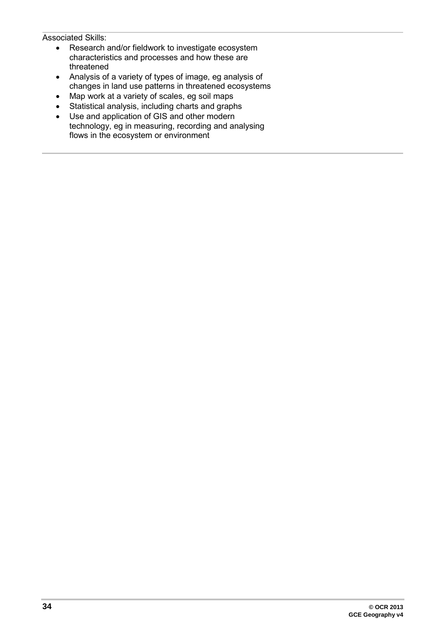- Research and/or fieldwork to investigate ecosystem characteristics and processes and how these are threatened
- Analysis of a variety of types of image, eg analysis of changes in land use patterns in threatened ecosystems
- Map work at a variety of scales, eg soil maps<br>• Statistical analysis. including charts and grapl
- Statistical analysis, including charts and graphs
- Use and application of GIS and other modern technology, eg in measuring, recording and analysing flows in the ecosystem or environment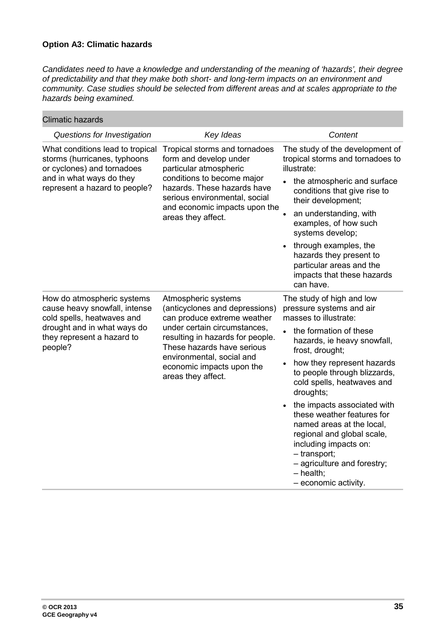#### **Option A3: Climatic hazards**

*Candidates need to have a knowledge and understanding of the meaning of 'hazards', their degree of predictability and that they make both short- and long-term impacts on an environment and community. Case studies should be selected from different areas and at scales appropriate to the hazards being examined.*

| <b>Climatic hazards</b>                                                                                                                                           |                                                                                                                                                                                                                                                                        |                                                                                                                                                                                                                                                                                                                                                                                                                                                                                                                       |
|-------------------------------------------------------------------------------------------------------------------------------------------------------------------|------------------------------------------------------------------------------------------------------------------------------------------------------------------------------------------------------------------------------------------------------------------------|-----------------------------------------------------------------------------------------------------------------------------------------------------------------------------------------------------------------------------------------------------------------------------------------------------------------------------------------------------------------------------------------------------------------------------------------------------------------------------------------------------------------------|
| Questions for Investigation                                                                                                                                       | Key Ideas                                                                                                                                                                                                                                                              | Content                                                                                                                                                                                                                                                                                                                                                                                                                                                                                                               |
| What conditions lead to tropical<br>storms (hurricanes, typhoons<br>or cyclones) and tornadoes<br>and in what ways do they<br>represent a hazard to people?       | Tropical storms and tornadoes<br>form and develop under<br>particular atmospheric<br>conditions to become major<br>hazards. These hazards have<br>serious environmental, social<br>and economic impacts upon the<br>areas they affect.                                 | The study of the development of<br>tropical storms and tornadoes to<br>illustrate:<br>the atmospheric and surface<br>conditions that give rise to<br>their development;<br>an understanding, with<br>$\bullet$<br>examples, of how such<br>systems develop;<br>through examples, the<br>hazards they present to<br>particular areas and the<br>impacts that these hazards<br>can have.                                                                                                                                |
| How do atmospheric systems<br>cause heavy snowfall, intense<br>cold spells, heatwaves and<br>drought and in what ways do<br>they represent a hazard to<br>people? | Atmospheric systems<br>(anticyclones and depressions)<br>can produce extreme weather<br>under certain circumstances,<br>resulting in hazards for people.<br>These hazards have serious<br>environmental, social and<br>economic impacts upon the<br>areas they affect. | The study of high and low<br>pressure systems and air<br>masses to illustrate:<br>the formation of these<br>$\bullet$<br>hazards, ie heavy snowfall,<br>frost, drought;<br>how they represent hazards<br>to people through blizzards,<br>cold spells, heatwaves and<br>droughts;<br>the impacts associated with<br>these weather features for<br>named areas at the local,<br>regional and global scale,<br>including impacts on:<br>- transport;<br>- agriculture and forestry;<br>- health;<br>- economic activity. |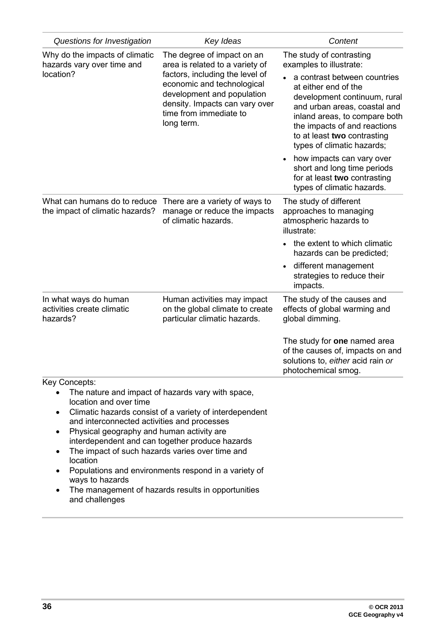| Questions for Investigation                                                                                                                                                                                                                                                                 | Key Ideas                                                                                                                                                                                                                                                                     | Content                                                                                                                                                                                                                                                                                                                                                                                                                             |
|---------------------------------------------------------------------------------------------------------------------------------------------------------------------------------------------------------------------------------------------------------------------------------------------|-------------------------------------------------------------------------------------------------------------------------------------------------------------------------------------------------------------------------------------------------------------------------------|-------------------------------------------------------------------------------------------------------------------------------------------------------------------------------------------------------------------------------------------------------------------------------------------------------------------------------------------------------------------------------------------------------------------------------------|
| Why do the impacts of climatic<br>hazards vary over time and<br>location?                                                                                                                                                                                                                   | The degree of impact on an<br>area is related to a variety of<br>factors, including the level of<br>economic and technological<br>development and population<br>density. Impacts can vary over<br>time from immediate to<br>long term.                                        | The study of contrasting<br>examples to illustrate:<br>a contrast between countries<br>at either end of the<br>development continuum, rural<br>and urban areas, coastal and<br>inland areas, to compare both<br>the impacts of and reactions<br>to at least two contrasting<br>types of climatic hazards;<br>how impacts can vary over<br>short and long time periods<br>for at least two contrasting<br>types of climatic hazards. |
| What can humans do to reduce<br>the impact of climatic hazards?                                                                                                                                                                                                                             | There are a variety of ways to<br>manage or reduce the impacts<br>of climatic hazards.                                                                                                                                                                                        | The study of different<br>approaches to managing<br>atmospheric hazards to<br>illustrate:<br>the extent to which climatic<br>hazards can be predicted;<br>different management<br>strategies to reduce their<br>impacts.                                                                                                                                                                                                            |
| In what ways do human<br>activities create climatic<br>hazards?                                                                                                                                                                                                                             | Human activities may impact<br>on the global climate to create<br>particular climatic hazards.                                                                                                                                                                                | The study of the causes and<br>effects of global warming and<br>global dimming.<br>The study for one named area<br>of the causes of, impacts on and<br>solutions to, either acid rain or<br>photochemical smog.                                                                                                                                                                                                                     |
| Key Concepts:<br>location and over time<br>$\bullet$<br>and interconnected activities and processes<br>Physical geography and human activity are<br>$\bullet$<br>The impact of such hazards varies over time and<br>$\bullet$<br>location<br>$\bullet$<br>ways to hazards<br>and challenges | The nature and impact of hazards vary with space,<br>Climatic hazards consist of a variety of interdependent<br>interdependent and can together produce hazards<br>Populations and environments respond in a variety of<br>The management of hazards results in opportunities |                                                                                                                                                                                                                                                                                                                                                                                                                                     |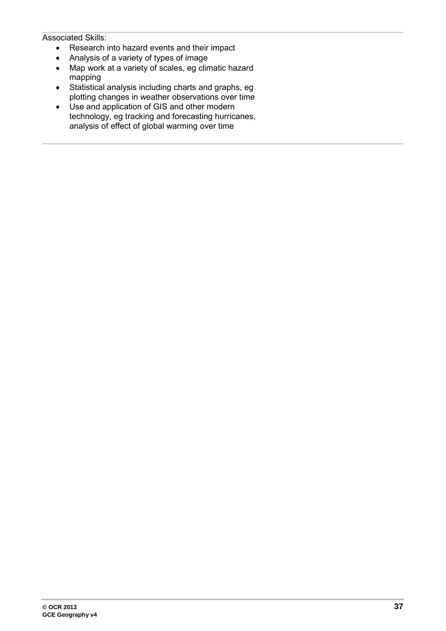- Research into hazard events and their impact
- Analysis of a variety of types of image
- Map work at a variety of scales, eg climatic hazard mapping
- Statistical analysis including charts and graphs, eg plotting changes in weather observations over time
- Use and application of GIS and other modern technology, eg tracking and forecasting hurricanes, analysis of effect of global warming over time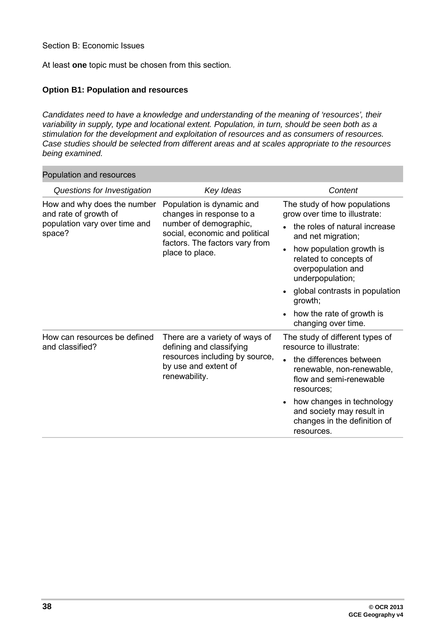Section B: Economic Issues

Population and resources

At least **one** topic must be chosen from this section*.*

#### **Option B1: Population and resources**

*Candidates need to have a knowledge and understanding of the meaning of 'resources', their variability in supply, type and locational extent. Population, in turn, should be seen both as a stimulation for the development and exploitation of resources and as consumers of resources. Case studies should be selected from different areas and at scales appropriate to the resources being examined.*

| Population and resources                                                                        |                                                                                                                                                                        |                                                                                                                                                                                                                                                                                                                       |
|-------------------------------------------------------------------------------------------------|------------------------------------------------------------------------------------------------------------------------------------------------------------------------|-----------------------------------------------------------------------------------------------------------------------------------------------------------------------------------------------------------------------------------------------------------------------------------------------------------------------|
| Questions for Investigation                                                                     | Key Ideas                                                                                                                                                              | Content                                                                                                                                                                                                                                                                                                               |
| How and why does the number<br>and rate of growth of<br>population vary over time and<br>space? | Population is dynamic and<br>changes in response to a<br>number of demographic,<br>social, economic and political<br>factors. The factors vary from<br>place to place. | The study of how populations<br>grow over time to illustrate:<br>the roles of natural increase<br>and net migration;<br>how population growth is<br>related to concepts of<br>overpopulation and<br>underpopulation;<br>global contrasts in population<br>growth;<br>how the rate of growth is<br>changing over time. |
| How can resources be defined<br>and classified?                                                 | There are a variety of ways of<br>defining and classifying<br>resources including by source,<br>by use and extent of<br>renewability.                                  | The study of different types of<br>resource to illustrate:<br>the differences between<br>renewable, non-renewable,<br>flow and semi-renewable<br>resources;<br>how changes in technology<br>and society may result in<br>changes in the definition of<br>resources.                                                   |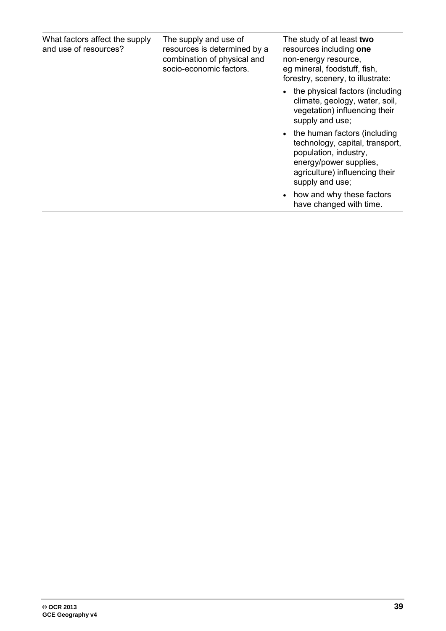| What factors affect the supply<br>and use of resources? | The supply and use of<br>resources is determined by a<br>combination of physical and<br>socio-economic factors. | The study of at least two<br>resources including one<br>non-energy resource,<br>eg mineral, foodstuff, fish,<br>forestry, scenery, to illustrate:                         |
|---------------------------------------------------------|-----------------------------------------------------------------------------------------------------------------|---------------------------------------------------------------------------------------------------------------------------------------------------------------------------|
|                                                         |                                                                                                                 | • the physical factors (including<br>climate, geology, water, soil,<br>vegetation) influencing their<br>supply and use;                                                   |
|                                                         |                                                                                                                 | • the human factors (including<br>technology, capital, transport,<br>population, industry,<br>energy/power supplies,<br>agriculture) influencing their<br>supply and use; |
|                                                         |                                                                                                                 | how and why these factors<br>have changed with time.                                                                                                                      |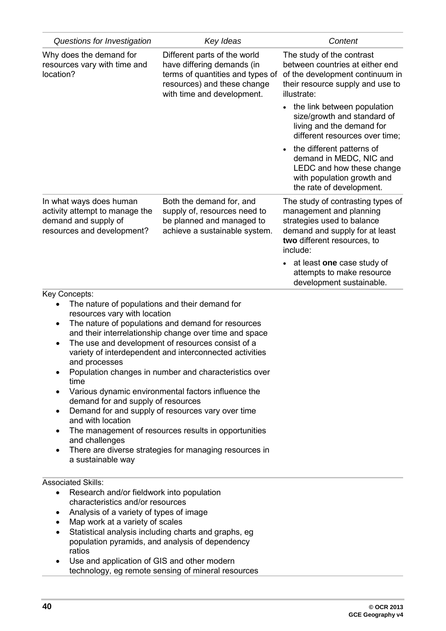| Questions for Investigation                                                                                                                                                                                                                                                                              | Key Ideas                                                                                                                                                                                                                                                                                                                                                                                                                                                                                                           | Content                                                                                                                                                                 |
|----------------------------------------------------------------------------------------------------------------------------------------------------------------------------------------------------------------------------------------------------------------------------------------------------------|---------------------------------------------------------------------------------------------------------------------------------------------------------------------------------------------------------------------------------------------------------------------------------------------------------------------------------------------------------------------------------------------------------------------------------------------------------------------------------------------------------------------|-------------------------------------------------------------------------------------------------------------------------------------------------------------------------|
| Why does the demand for<br>resources vary with time and<br>location?                                                                                                                                                                                                                                     | Different parts of the world<br>have differing demands (in<br>terms of quantities and types of<br>resources) and these change<br>with time and development.                                                                                                                                                                                                                                                                                                                                                         | The study of the contrast<br>between countries at either end<br>of the development continuum in<br>their resource supply and use to<br>illustrate:                      |
|                                                                                                                                                                                                                                                                                                          |                                                                                                                                                                                                                                                                                                                                                                                                                                                                                                                     | the link between population<br>size/growth and standard of<br>living and the demand for<br>different resources over time;                                               |
|                                                                                                                                                                                                                                                                                                          |                                                                                                                                                                                                                                                                                                                                                                                                                                                                                                                     | the different patterns of<br>demand in MEDC, NIC and<br>LEDC and how these change<br>with population growth and<br>the rate of development.                             |
| In what ways does human<br>activity attempt to manage the<br>demand and supply of<br>resources and development?                                                                                                                                                                                          | Both the demand for, and<br>supply of, resources need to<br>be planned and managed to<br>achieve a sustainable system.                                                                                                                                                                                                                                                                                                                                                                                              | The study of contrasting types of<br>management and planning<br>strategies used to balance<br>demand and supply for at least<br>two different resources, to<br>include: |
|                                                                                                                                                                                                                                                                                                          |                                                                                                                                                                                                                                                                                                                                                                                                                                                                                                                     | at least one case study of<br>attempts to make resource<br>development sustainable.                                                                                     |
| Key Concepts:<br>The nature of populations and their demand for<br>resources vary with location<br>$\bullet$<br>$\bullet$<br>and processes<br>$\bullet$<br>time<br>demand for and supply of resources<br>٠<br>and with location<br>٠<br>and challenges<br>a sustainable way<br><b>Associated Skills:</b> | The nature of populations and demand for resources<br>and their interrelationship change over time and space<br>The use and development of resources consist of a<br>variety of interdependent and interconnected activities<br>Population changes in number and characteristics over<br>Various dynamic environmental factors influence the<br>Demand for and supply of resources vary over time<br>The management of resources results in opportunities<br>There are diverse strategies for managing resources in |                                                                                                                                                                         |
| Research and/or fieldwork into population<br>$\bullet$<br>characteristics and/or resources<br>Analysis of a variety of types of image<br>٠<br>Map work at a variety of scales<br>$\bullet$<br>ratios<br>Use and application of GIS and other modern                                                      | Statistical analysis including charts and graphs, eg<br>population pyramids, and analysis of dependency                                                                                                                                                                                                                                                                                                                                                                                                             |                                                                                                                                                                         |
|                                                                                                                                                                                                                                                                                                          | technology, eg remote sensing of mineral resources                                                                                                                                                                                                                                                                                                                                                                                                                                                                  |                                                                                                                                                                         |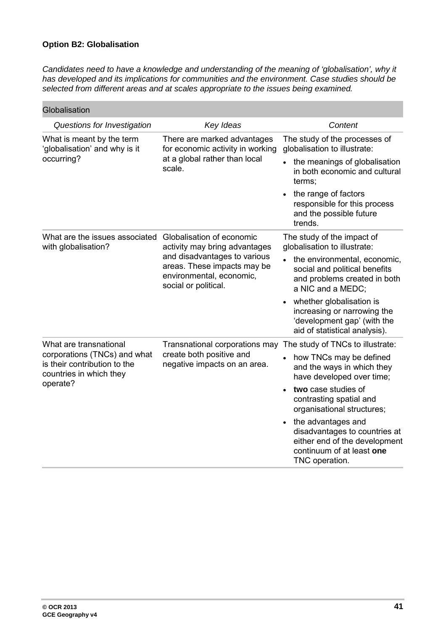#### **Option B2: Globalisation**

Candidates need to have a knowledge and understanding of the meaning of 'globalisation', why it *has developed and its implications for communities and the environment. Case studies should be selected from different areas and at scales appropriate to the issues being examined.*

| Globalisation                                                                                       |                                                                                                                                                                               |                                                                                                                                     |
|-----------------------------------------------------------------------------------------------------|-------------------------------------------------------------------------------------------------------------------------------------------------------------------------------|-------------------------------------------------------------------------------------------------------------------------------------|
| Questions for Investigation                                                                         | Key Ideas                                                                                                                                                                     | Content                                                                                                                             |
| What is meant by the term<br>'globalisation' and why is it                                          | There are marked advantages<br>for economic activity in working<br>at a global rather than local<br>scale.                                                                    | The study of the processes of<br>globalisation to illustrate:                                                                       |
| occurring?                                                                                          |                                                                                                                                                                               | the meanings of globalisation<br>in both economic and cultural<br>terms;                                                            |
|                                                                                                     |                                                                                                                                                                               | the range of factors<br>responsible for this process<br>and the possible future<br>trends.                                          |
| What are the issues associated<br>with globalisation?                                               | Globalisation of economic<br>activity may bring advantages<br>and disadvantages to various<br>areas. These impacts may be<br>environmental, economic,<br>social or political. | The study of the impact of<br>globalisation to illustrate:                                                                          |
|                                                                                                     |                                                                                                                                                                               | the environmental, economic,<br>$\bullet$<br>social and political benefits<br>and problems created in both<br>a NIC and a MEDC;     |
|                                                                                                     |                                                                                                                                                                               | whether globalisation is<br>increasing or narrowing the<br>'development gap' (with the<br>aid of statistical analysis).             |
| What are transnational                                                                              | Transnational corporations may<br>create both positive and<br>negative impacts on an area.                                                                                    | The study of TNCs to illustrate:                                                                                                    |
| corporations (TNCs) and what<br>is their contribution to the<br>countries in which they<br>operate? |                                                                                                                                                                               | how TNCs may be defined<br>and the ways in which they<br>have developed over time;                                                  |
|                                                                                                     |                                                                                                                                                                               | two case studies of<br>contrasting spatial and<br>organisational structures;                                                        |
|                                                                                                     |                                                                                                                                                                               | the advantages and<br>disadvantages to countries at<br>either end of the development<br>continuum of at least one<br>TNC operation. |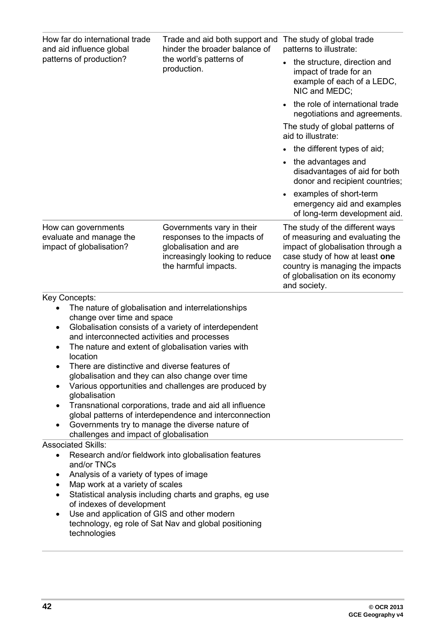| How far do international trade<br>and aid influence global<br>patterns of production?                                                                                                                                                                                                                                                                                                                                                                                | Trade and aid both support and<br>hinder the broader balance of<br>the world's patterns of<br>production.                                                                                                                          | The study of global trade<br>patterns to illustrate:<br>the structure, direction and<br>impact of trade for an<br>example of each of a LEDC,<br>NIC and MEDC;<br>the role of international trade<br>negotiations and agreements.<br>The study of global patterns of<br>aid to illustrate:<br>the different types of aid;<br>the advantages and<br>disadvantages of aid for both<br>donor and recipient countries;<br>examples of short-term<br>emergency aid and examples<br>of long-term development aid. |
|----------------------------------------------------------------------------------------------------------------------------------------------------------------------------------------------------------------------------------------------------------------------------------------------------------------------------------------------------------------------------------------------------------------------------------------------------------------------|------------------------------------------------------------------------------------------------------------------------------------------------------------------------------------------------------------------------------------|------------------------------------------------------------------------------------------------------------------------------------------------------------------------------------------------------------------------------------------------------------------------------------------------------------------------------------------------------------------------------------------------------------------------------------------------------------------------------------------------------------|
| How can governments<br>evaluate and manage the<br>impact of globalisation?                                                                                                                                                                                                                                                                                                                                                                                           | Governments vary in their<br>responses to the impacts of<br>globalisation and are<br>increasingly looking to reduce<br>the harmful impacts.                                                                                        | The study of the different ways<br>of measuring and evaluating the<br>impact of globalisation through a<br>case study of how at least one<br>country is managing the impacts<br>of globalisation on its economy<br>and society.                                                                                                                                                                                                                                                                            |
| Key Concepts:<br>The nature of globalisation and interrelationships<br>change over time and space<br>$\bullet$<br>and interconnected activities and processes<br>The nature and extent of globalisation varies with<br>٠<br>location<br>There are distinctive and diverse features of<br>globalisation and they can also change over time<br>globalisation<br>Governments try to manage the diverse nature of<br>$\bullet$<br>challenges and impact of globalisation | Globalisation consists of a variety of interdependent<br>Various opportunities and challenges are produced by<br>Transnational corporations, trade and aid all influence<br>global patterns of interdependence and interconnection |                                                                                                                                                                                                                                                                                                                                                                                                                                                                                                            |
| <b>Associated Skills:</b><br>$\bullet$<br>and/or TNCs<br>Analysis of a variety of types of image<br>$\bullet$<br>Map work at a variety of scales<br>$\bullet$<br>$\bullet$<br>of indexes of development<br>Use and application of GIS and other modern<br>$\bullet$<br>technologies                                                                                                                                                                                  | Research and/or fieldwork into globalisation features<br>Statistical analysis including charts and graphs, eg use<br>technology, eg role of Sat Nav and global positioning                                                         |                                                                                                                                                                                                                                                                                                                                                                                                                                                                                                            |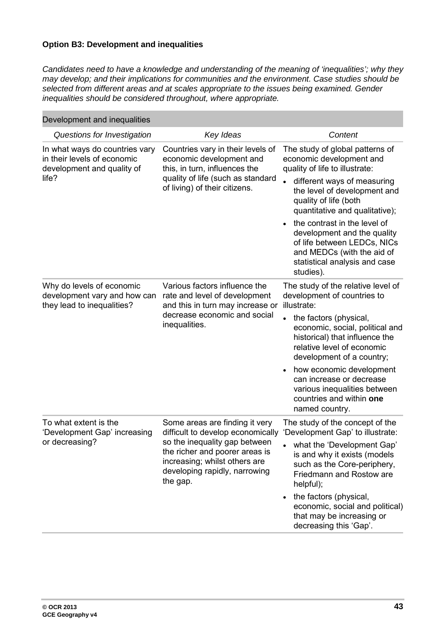#### **Option B3: Development and inequalities**

*Candidates need to have a knowledge and understanding of the meaning of 'inequalities'; why they may develop; and their implications for communities and the environment. Case studies should be selected from different areas and at scales appropriate to the issues being examined. Gender inequalities should be considered throughout, where appropriate.*

| Development and inequalities                                                                         |                                                                                                                                                                                                                      |                                                                                                                                                                                                                                                                                                                                                                                                   |
|------------------------------------------------------------------------------------------------------|----------------------------------------------------------------------------------------------------------------------------------------------------------------------------------------------------------------------|---------------------------------------------------------------------------------------------------------------------------------------------------------------------------------------------------------------------------------------------------------------------------------------------------------------------------------------------------------------------------------------------------|
| Questions for Investigation                                                                          | Key Ideas                                                                                                                                                                                                            | Content                                                                                                                                                                                                                                                                                                                                                                                           |
| In what ways do countries vary<br>in their levels of economic<br>development and quality of<br>life? | Countries vary in their levels of<br>economic development and<br>this, in turn, influences the<br>quality of life (such as standard<br>of living) of their citizens.                                                 | The study of global patterns of<br>economic development and<br>quality of life to illustrate:<br>different ways of measuring<br>the level of development and<br>quality of life (both<br>quantitative and qualitative);<br>the contrast in the level of<br>development and the quality<br>of life between LEDCs, NICs<br>and MEDCs (with the aid of<br>statistical analysis and case<br>studies). |
| Why do levels of economic<br>development vary and how can<br>they lead to inequalities?              | Various factors influence the<br>rate and level of development<br>and this in turn may increase or<br>decrease economic and social<br>inequalities.                                                                  | The study of the relative level of<br>development of countries to<br>illustrate:<br>the factors (physical,<br>economic, social, political and<br>historical) that influence the<br>relative level of economic<br>development of a country;<br>how economic development<br>can increase or decrease<br>various inequalities between<br>countries and within one<br>named country.                  |
| To what extent is the<br>'Development Gap' increasing<br>or decreasing?                              | Some areas are finding it very<br>difficult to develop economically<br>so the inequality gap between<br>the richer and poorer areas is<br>increasing; whilst others are<br>developing rapidly, narrowing<br>the gap. | The study of the concept of the<br>'Development Gap' to illustrate:<br>what the 'Development Gap'<br>is and why it exists (models<br>such as the Core-periphery,<br>Friedmann and Rostow are<br>helpful);<br>the factors (physical,<br>economic, social and political)<br>that may be increasing or<br>decreasing this 'Gap'.                                                                     |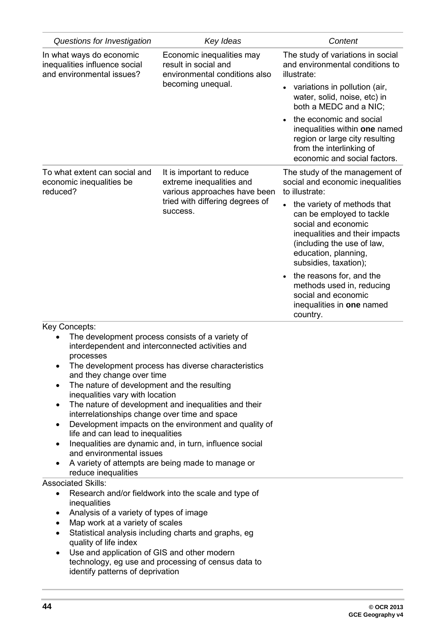| Questions for Investigation                                                                                                                         | Key Ideas                                                                                               | Content                                                                                                                                                                                                                                                                                                                   |
|-----------------------------------------------------------------------------------------------------------------------------------------------------|---------------------------------------------------------------------------------------------------------|---------------------------------------------------------------------------------------------------------------------------------------------------------------------------------------------------------------------------------------------------------------------------------------------------------------------------|
| In what ways do economic<br>inequalities influence social<br>and environmental issues?                                                              | Economic inequalities may<br>result in social and<br>environmental conditions also<br>becoming unequal. | The study of variations in social<br>and environmental conditions to<br>illustrate:                                                                                                                                                                                                                                       |
|                                                                                                                                                     |                                                                                                         | variations in pollution (air,<br>water, solid, noise, etc) in<br>both a MEDC and a NIC;                                                                                                                                                                                                                                   |
|                                                                                                                                                     |                                                                                                         | the economic and social<br>inequalities within one named<br>region or large city resulting<br>from the interlinking of<br>economic and social factors.                                                                                                                                                                    |
| To what extent can social and<br>economic inequalities be<br>reduced?                                                                               | It is important to reduce<br>extreme inequalities and<br>various approaches have been                   | The study of the management of<br>social and economic inequalities<br>to illustrate:                                                                                                                                                                                                                                      |
|                                                                                                                                                     | tried with differing degrees of<br>success.                                                             | the variety of methods that<br>can be employed to tackle<br>social and economic<br>inequalities and their impacts<br>(including the use of law,<br>education, planning,<br>subsidies, taxation);<br>the reasons for, and the<br>methods used in, reducing<br>social and economic<br>inequalities in one named<br>country. |
| Key Concepts:                                                                                                                                       |                                                                                                         |                                                                                                                                                                                                                                                                                                                           |
| The development process consists of a variety of<br>interdependent and interconnected activities and                                                |                                                                                                         |                                                                                                                                                                                                                                                                                                                           |
| processes                                                                                                                                           |                                                                                                         |                                                                                                                                                                                                                                                                                                                           |
| and they change over time                                                                                                                           | The development process has diverse characteristics                                                     |                                                                                                                                                                                                                                                                                                                           |
| The nature of development and the resulting<br>$\bullet$<br>inequalities vary with location                                                         |                                                                                                         |                                                                                                                                                                                                                                                                                                                           |
| ٠                                                                                                                                                   | The nature of development and inequalities and their                                                    |                                                                                                                                                                                                                                                                                                                           |
| interrelationships change over time and space<br>٠                                                                                                  | Development impacts on the environment and quality of                                                   |                                                                                                                                                                                                                                                                                                                           |
| life and can lead to inequalities                                                                                                                   |                                                                                                         |                                                                                                                                                                                                                                                                                                                           |
| Inequalities are dynamic and, in turn, influence social<br>$\bullet$<br>and environmental issues                                                    |                                                                                                         |                                                                                                                                                                                                                                                                                                                           |
| A variety of attempts are being made to manage or<br>reduce inequalities                                                                            |                                                                                                         |                                                                                                                                                                                                                                                                                                                           |
| <b>Associated Skills:</b>                                                                                                                           |                                                                                                         |                                                                                                                                                                                                                                                                                                                           |
| $\bullet$<br>inequalities                                                                                                                           | Research and/or fieldwork into the scale and type of                                                    |                                                                                                                                                                                                                                                                                                                           |
| Analysis of a variety of types of image<br>٠                                                                                                        |                                                                                                         |                                                                                                                                                                                                                                                                                                                           |
| Map work at a variety of scales<br>٠<br>Statistical analysis including charts and graphs, eg<br>$\bullet$                                           |                                                                                                         |                                                                                                                                                                                                                                                                                                                           |
| quality of life index                                                                                                                               |                                                                                                         |                                                                                                                                                                                                                                                                                                                           |
| Use and application of GIS and other modern<br>$\bullet$<br>technology, eg use and processing of census data to<br>identify patterns of deprivation |                                                                                                         |                                                                                                                                                                                                                                                                                                                           |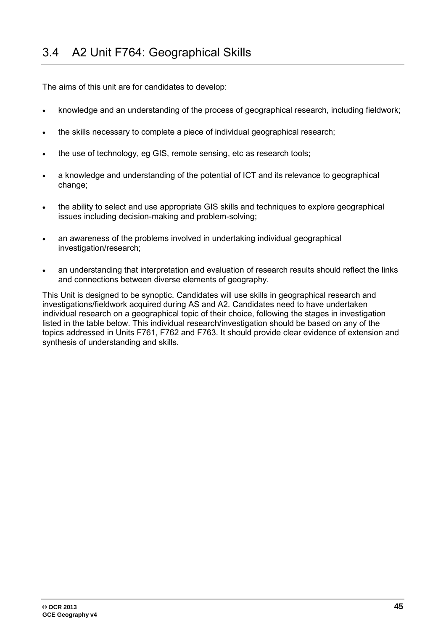<span id="page-44-0"></span>The aims of this unit are for candidates to develop:

- knowledge and an understanding of the process of geographical research, including fieldwork;
- the skills necessary to complete a piece of individual geographical research;
- the use of technology, eg GIS, remote sensing, etc as research tools;
- a knowledge and understanding of the potential of ICT and its relevance to geographical change;
- the ability to select and use appropriate GIS skills and techniques to explore geographical issues including decision-making and problem-solving;
- an awareness of the problems involved in undertaking individual geographical investigation/research;
- an understanding that interpretation and evaluation of research results should reflect the links and connections between diverse elements of geography.

This Unit is designed to be synoptic. Candidates will use skills in geographical research and investigations/fieldwork acquired during AS and A2. Candidates need to have undertaken individual research on a geographical topic of their choice, following the stages in investigation listed in the table below. This individual research/investigation should be based on any of the topics addressed in Units F761, F762 and F763. It should provide clear evidence of extension and synthesis of understanding and skills.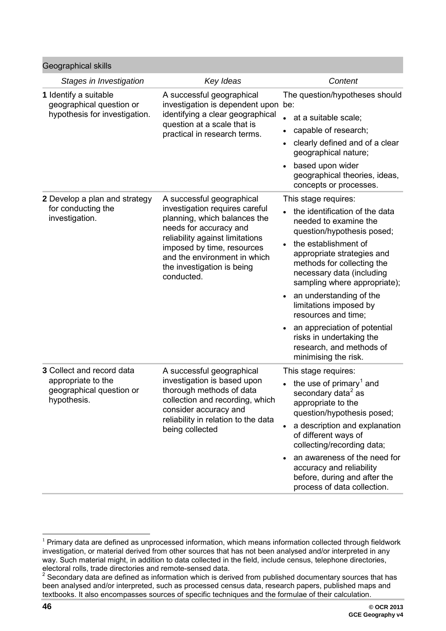| Geographical skills                                                                               |                                                                                                                                                                                                                                                                    |                                                                                                                                                                                                                                                                                                                                                                                                                                                            |
|---------------------------------------------------------------------------------------------------|--------------------------------------------------------------------------------------------------------------------------------------------------------------------------------------------------------------------------------------------------------------------|------------------------------------------------------------------------------------------------------------------------------------------------------------------------------------------------------------------------------------------------------------------------------------------------------------------------------------------------------------------------------------------------------------------------------------------------------------|
| Stages in Investigation                                                                           | Key Ideas                                                                                                                                                                                                                                                          | Content                                                                                                                                                                                                                                                                                                                                                                                                                                                    |
| 1 Identify a suitable<br>geographical question or<br>hypothesis for investigation.                | A successful geographical<br>investigation is dependent upon be:<br>identifying a clear geographical<br>question at a scale that is<br>practical in research terms.                                                                                                | The question/hypotheses should<br>at a suitable scale;<br>$\bullet$<br>capable of research;<br>clearly defined and of a clear<br>geographical nature;<br>based upon wider<br>geographical theories, ideas,<br>concepts or processes.                                                                                                                                                                                                                       |
| 2 Develop a plan and strategy<br>for conducting the<br>investigation.                             | A successful geographical<br>investigation requires careful<br>planning, which balances the<br>needs for accuracy and<br>reliability against limitations<br>imposed by time, resources<br>and the environment in which<br>the investigation is being<br>conducted. | This stage requires:<br>the identification of the data<br>needed to examine the<br>question/hypothesis posed;<br>the establishment of<br>appropriate strategies and<br>methods for collecting the<br>necessary data (including<br>sampling where appropriate);<br>an understanding of the<br>limitations imposed by<br>resources and time;<br>an appreciation of potential<br>risks in undertaking the<br>research, and methods of<br>minimising the risk. |
| <b>3</b> Collect and record data<br>appropriate to the<br>geographical question or<br>hypothesis. | A successful geographical<br>investigation is based upon<br>thorough methods of data<br>collection and recording, which<br>consider accuracy and<br>reliability in relation to the data<br>being collected                                                         | This stage requires:<br>the use of primary <sup>1</sup> and<br>secondary data <sup>2</sup> as<br>appropriate to the<br>question/hypothesis posed;<br>a description and explanation<br>of different ways of<br>collecting/recording data;<br>an awareness of the need for<br>accuracy and reliability<br>before, during and after the<br>process of data collection.                                                                                        |

<sup>-</sup> $1$  Primary data are defined as unprocessed information, which means information collected through fieldwork investigation, or material derived from other sources that has not been analysed and/or interpreted in any way. Such material might, in addition to data collected in the field, include census, telephone directories, electoral rolls, trade directories and remote-sensed data.

<span id="page-45-0"></span> $2$  Secondary data are defined as information which is derived from published documentary sources that has been analysed and/or interpreted, such as processed census data, research papers, published maps and textbooks. It also encompasses sources of specific techniques and the formulae of their calculation.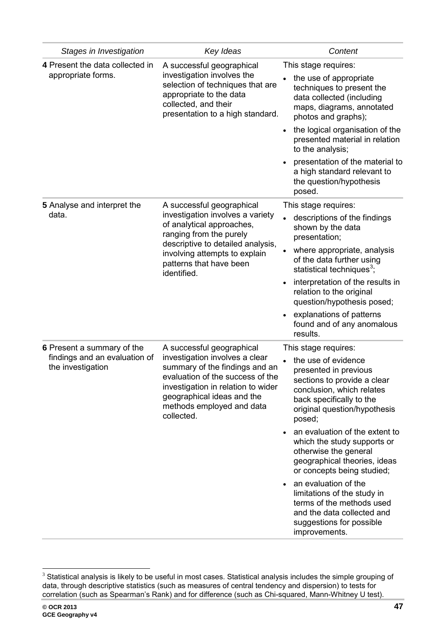| Stages in Investigation                                                          | Key Ideas                                                                                                                                                                                                                                        | Content                                                                                                                                                                                                                                                                                                                                                                                                                                                                                                                       |
|----------------------------------------------------------------------------------|--------------------------------------------------------------------------------------------------------------------------------------------------------------------------------------------------------------------------------------------------|-------------------------------------------------------------------------------------------------------------------------------------------------------------------------------------------------------------------------------------------------------------------------------------------------------------------------------------------------------------------------------------------------------------------------------------------------------------------------------------------------------------------------------|
| 4 Present the data collected in<br>appropriate forms.                            | A successful geographical<br>investigation involves the<br>selection of techniques that are<br>appropriate to the data<br>collected, and their<br>presentation to a high standard.                                                               | This stage requires:<br>the use of appropriate<br>techniques to present the<br>data collected (including<br>maps, diagrams, annotated<br>photos and graphs);<br>the logical organisation of the<br>presented material in relation<br>to the analysis;<br>presentation of the material to<br>a high standard relevant to<br>the question/hypothesis<br>posed.                                                                                                                                                                  |
| 5 Analyse and interpret the<br>data.                                             | A successful geographical<br>investigation involves a variety<br>of analytical approaches,<br>ranging from the purely<br>descriptive to detailed analysis,<br>involving attempts to explain<br>patterns that have been<br>identified.            | This stage requires:<br>descriptions of the findings<br>shown by the data<br>presentation;<br>where appropriate, analysis<br>of the data further using<br>statistical techniques <sup>3</sup> ;<br>interpretation of the results in<br>relation to the original<br>question/hypothesis posed;<br>explanations of patterns<br>found and of any anomalous<br>results.                                                                                                                                                           |
| 6 Present a summary of the<br>findings and an evaluation of<br>the investigation | A successful geographical<br>investigation involves a clear<br>summary of the findings and an<br>evaluation of the success of the<br>investigation in relation to wider<br>geographical ideas and the<br>methods employed and data<br>collected. | This stage requires:<br>the use of evidence<br>presented in previous<br>sections to provide a clear<br>conclusion, which relates<br>back specifically to the<br>original question/hypothesis<br>posed;<br>an evaluation of the extent to<br>which the study supports or<br>otherwise the general<br>geographical theories, ideas<br>or concepts being studied;<br>an evaluation of the<br>limitations of the study in<br>terms of the methods used<br>and the data collected and<br>suggestions for possible<br>improvements. |

<sup>-</sup> $3$  Statistical analysis is likely to be useful in most cases. Statistical analysis includes the simple grouping of data, through descriptive statistics (such as measures of central tendency and dispersion) to tests for correlation (such as Spearman's Rank) and for difference (such as Chi-squared, Mann-Whitney U test).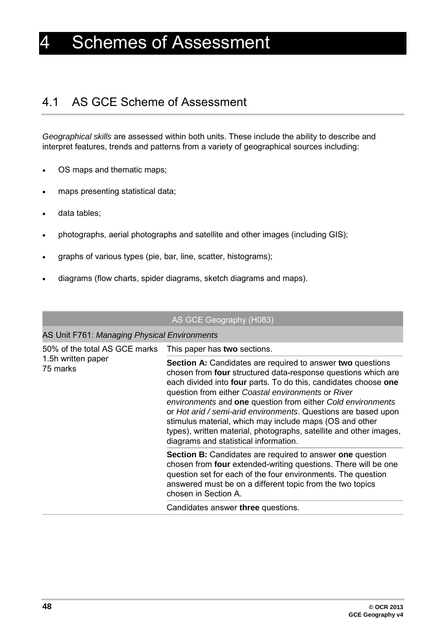## <span id="page-47-0"></span>**Schemes of Assessment**

## <span id="page-47-1"></span>4.1 AS GCE Scheme of Assessment

*Geographical skills* are assessed within both units. These include the ability to describe and interpret features, trends and patterns from a variety of geographical sources including:

- OS maps and thematic maps;
- maps presenting statistical data;
- data tables;
- photographs, aerial photographs and satellite and other images (including GIS);
- graphs of various types (pie, bar, line, scatter, histograms);
- diagrams (flow charts, spider diagrams, sketch diagrams and maps).

#### AS GCE Geography (H083)

#### AS Unit F761: *Managing Physical Environments*

| 50% of the total AS GCE marks<br>1.5h written paper<br>75 marks | This paper has two sections.                                                                                                                                                                                                                                                                                                                                                                                                                                                                                                                                           |
|-----------------------------------------------------------------|------------------------------------------------------------------------------------------------------------------------------------------------------------------------------------------------------------------------------------------------------------------------------------------------------------------------------------------------------------------------------------------------------------------------------------------------------------------------------------------------------------------------------------------------------------------------|
|                                                                 | <b>Section A:</b> Candidates are required to answer two questions<br>chosen from four structured data-response questions which are<br>each divided into four parts. To do this, candidates choose one<br>question from either Coastal environments or River<br>environments and one question from either Cold environments<br>or Hot arid / semi-arid environments. Questions are based upon<br>stimulus material, which may include maps (OS and other<br>types), written material, photographs, satellite and other images,<br>diagrams and statistical information. |
|                                                                 | <b>Section B:</b> Candidates are required to answer one question<br>chosen from <b>four</b> extended-writing questions. There will be one<br>question set for each of the four environments. The question<br>answered must be on a different topic from the two topics<br>chosen in Section A.                                                                                                                                                                                                                                                                         |
|                                                                 | Candidates answer three questions.                                                                                                                                                                                                                                                                                                                                                                                                                                                                                                                                     |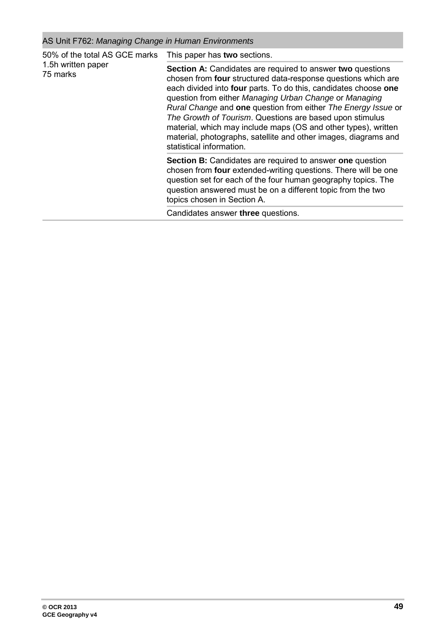## AS Unit F762: *Managing Change in Human Environments*

| 50% of the total AS GCE marks<br>1.5h written paper<br>75 marks | This paper has two sections.                                                                                                                                                                                                                                                                                                                                                                                                                                                                                                                                  |  |
|-----------------------------------------------------------------|---------------------------------------------------------------------------------------------------------------------------------------------------------------------------------------------------------------------------------------------------------------------------------------------------------------------------------------------------------------------------------------------------------------------------------------------------------------------------------------------------------------------------------------------------------------|--|
|                                                                 | <b>Section A:</b> Candidates are required to answer two questions<br>chosen from four structured data-response questions which are<br>each divided into four parts. To do this, candidates choose one<br>question from either Managing Urban Change or Managing<br>Rural Change and one question from either The Energy Issue or<br>The Growth of Tourism. Questions are based upon stimulus<br>material, which may include maps (OS and other types), written<br>material, photographs, satellite and other images, diagrams and<br>statistical information. |  |
|                                                                 | <b>Section B:</b> Candidates are required to answer <b>one</b> question<br>chosen from <b>four</b> extended-writing questions. There will be one<br>question set for each of the four human geography topics. The<br>question answered must be on a different topic from the two<br>topics chosen in Section A.                                                                                                                                                                                                                                               |  |
|                                                                 | Candidates answer three questions.                                                                                                                                                                                                                                                                                                                                                                                                                                                                                                                            |  |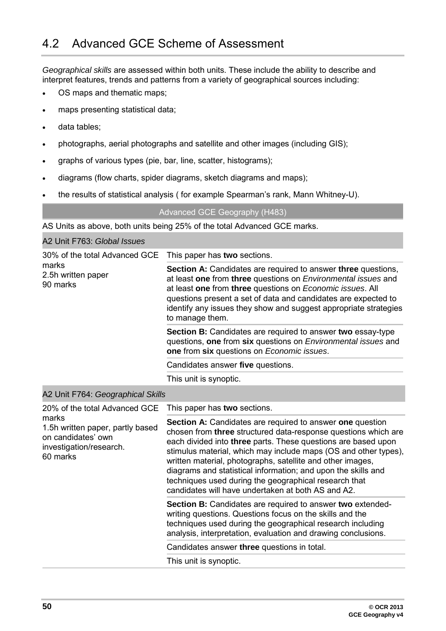<span id="page-49-0"></span>*Geographical skills* are assessed within both units. These include the ability to describe and interpret features, trends and patterns from a variety of geographical sources including:

- OS maps and thematic maps;
- maps presenting statistical data;
- data tables;

the contract of the contract of the

- photographs, aerial photographs and satellite and other images (including GIS);
- graphs of various types (pie, bar, line, scatter, histograms);
- diagrams (flow charts, spider diagrams, sketch diagrams and maps);
- the results of statistical analysis ( for example Spearman's rank, Mann Whitney-U).

Advanced GCE Geography (H483)

AS Units as above, both units being 25% of the total Advanced GCE marks.

| A2 Unit F763: Global Issues                                                                           |                                                                                                                                                                                                                                                                                                                                                             |
|-------------------------------------------------------------------------------------------------------|-------------------------------------------------------------------------------------------------------------------------------------------------------------------------------------------------------------------------------------------------------------------------------------------------------------------------------------------------------------|
| 30% of the total Advanced GCE This paper has two sections.<br>marks<br>2.5h written paper<br>90 marks |                                                                                                                                                                                                                                                                                                                                                             |
|                                                                                                       | <b>Section A:</b> Candidates are required to answer three questions,<br>at least one from three questions on Environmental issues and<br>at least one from three questions on Economic issues. All<br>questions present a set of data and candidates are expected to<br>identify any issues they show and suggest appropriate strategies<br>to manage them. |
|                                                                                                       | <b>Section B:</b> Candidates are required to answer two essay-type<br>questions, one from six questions on <i>Environmental issues</i> and<br>one from six questions on <i>Economic issues</i> .                                                                                                                                                            |
|                                                                                                       | Candidates answer five questions.                                                                                                                                                                                                                                                                                                                           |
|                                                                                                       | This unit is synoptic.                                                                                                                                                                                                                                                                                                                                      |

#### A2 Unit F764: *Geographical Skills*

| 20% of the total Advanced GCE                                                                          | This paper has two sections.                                                                                                                                                                                                                                                                                                                                                                                                                                                                                         |
|--------------------------------------------------------------------------------------------------------|----------------------------------------------------------------------------------------------------------------------------------------------------------------------------------------------------------------------------------------------------------------------------------------------------------------------------------------------------------------------------------------------------------------------------------------------------------------------------------------------------------------------|
| marks<br>1.5h written paper, partly based<br>on candidates' own<br>investigation/research.<br>60 marks | <b>Section A:</b> Candidates are required to answer one question<br>chosen from three structured data-response questions which are<br>each divided into three parts. These questions are based upon<br>stimulus material, which may include maps (OS and other types),<br>written material, photographs, satellite and other images,<br>diagrams and statistical information; and upon the skills and<br>techniques used during the geographical research that<br>candidates will have undertaken at both AS and A2. |
|                                                                                                        | <b>Section B:</b> Candidates are required to answer two extended-<br>writing questions. Questions focus on the skills and the<br>techniques used during the geographical research including<br>analysis, interpretation, evaluation and drawing conclusions.                                                                                                                                                                                                                                                         |
|                                                                                                        | Candidates answer three questions in total.                                                                                                                                                                                                                                                                                                                                                                                                                                                                          |
|                                                                                                        | This unit is synoptic.                                                                                                                                                                                                                                                                                                                                                                                                                                                                                               |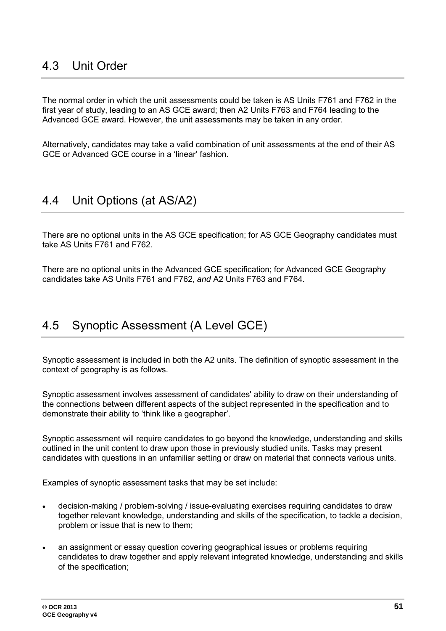## <span id="page-50-0"></span>4.3 Unit Order

The normal order in which the unit assessments could be taken is AS Units F761 and F762 in the first year of study, leading to an AS GCE award; then A2 Units F763 and F764 leading to the Advanced GCE award. However, the unit assessments may be taken in any order.

<span id="page-50-1"></span>Alternatively, candidates may take a valid combination of unit assessments at the end of their AS GCE or Advanced GCE course in a 'linear' fashion.

## 4.4 Unit Options (at AS/A2)

There are no optional units in the AS GCE specification; for AS GCE Geography candidates must take AS Units F761 and F762.

<span id="page-50-2"></span>There are no optional units in the Advanced GCE specification; for Advanced GCE Geography candidates take AS Units F761 and F762, *and* A2 Units F763 and F764.

## 4.5 Synoptic Assessment (A Level GCE)

Synoptic assessment is included in both the A2 units. The definition of synoptic assessment in the context of geography is as follows.

Synoptic assessment involves assessment of candidates' ability to draw on their understanding of the connections between different aspects of the subject represented in the specification and to demonstrate their ability to 'think like a geographer'.

Synoptic assessment will require candidates to go beyond the knowledge, understanding and skills outlined in the unit content to draw upon those in previously studied units. Tasks may present candidates with questions in an unfamiliar setting or draw on material that connects various units.

Examples of synoptic assessment tasks that may be set include:

- decision-making / problem-solving / issue-evaluating exercises requiring candidates to draw together relevant knowledge, understanding and skills of the specification, to tackle a decision, problem or issue that is new to them;
- an assignment or essay question covering geographical issues or problems requiring candidates to draw together and apply relevant integrated knowledge, understanding and skills of the specification;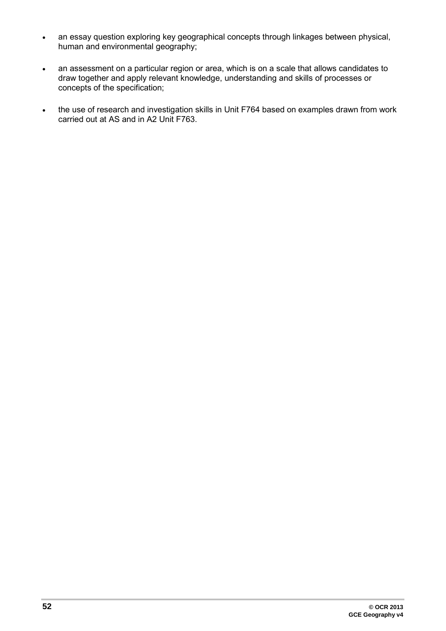- an essay question exploring key geographical concepts through linkages between physical, human and environmental geography;
- an assessment on a particular region or area, which is on a scale that allows candidates to draw together and apply relevant knowledge, understanding and skills of processes or concepts of the specification;
- the use of research and investigation skills in Unit F764 based on examples drawn from work carried out at AS and in A2 Unit F763.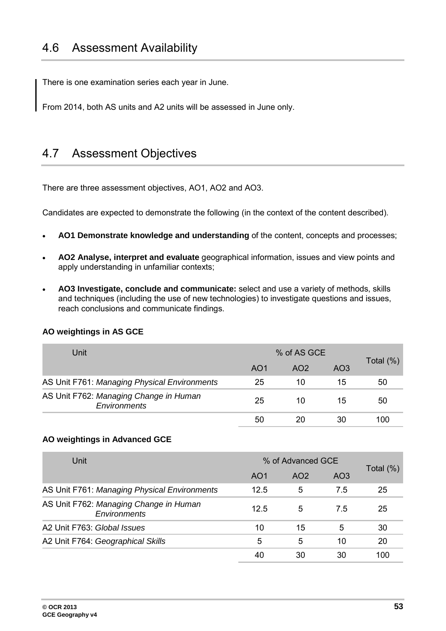<span id="page-52-0"></span>There is one examination series each year in June.

<span id="page-52-1"></span>From 2014, both AS units and A2 units will be assessed in June only.

## 4.7 Assessment Objectives

There are three assessment objectives, AO1, AO2 and AO3.

Candidates are expected to demonstrate the following (in the context of the content described).

- **AO1 Demonstrate knowledge and understanding** of the content, concepts and processes;
- **AO2 Analyse, interpret and evaluate** geographical information, issues and view points and apply understanding in unfamiliar contexts;
- **AO3 Investigate, conclude and communicate:** select and use a variety of methods, skills and techniques (including the use of new technologies) to investigate questions and issues, reach conclusions and communicate findings.

| Unit                                                   |     | % of AS GCE     |                 |              |
|--------------------------------------------------------|-----|-----------------|-----------------|--------------|
|                                                        | AO1 | AO <sub>2</sub> | AO <sub>3</sub> | Total $(\%)$ |
| AS Unit F761: Managing Physical Environments           | 25  | 10              | 15              | 50           |
| AS Unit F762: Managing Change in Human<br>Environments | 25  | 10              | 15              | 50           |
|                                                        | 50  |                 | 30              | 100          |

#### **AO weightings in AS GCE**

#### **AO weightings in Advanced GCE**

| Unit                                                   | % of Advanced GCE |     |                 |              |
|--------------------------------------------------------|-------------------|-----|-----------------|--------------|
|                                                        | AO <sub>1</sub>   | AO2 | AO <sub>3</sub> | Total $(\%)$ |
| AS Unit F761: Managing Physical Environments           | 12.5              | 5   | 7.5             | 25           |
| AS Unit F762: Managing Change in Human<br>Environments | 12.5              | 5   | 7.5             | 25           |
| A2 Unit F763: Global Issues                            | 10                | 15  | 5               | 30           |
| A2 Unit F764: Geographical Skills                      | 5                 | 5   | 10              | 20           |
|                                                        | 40                | 30  | 30              | 100          |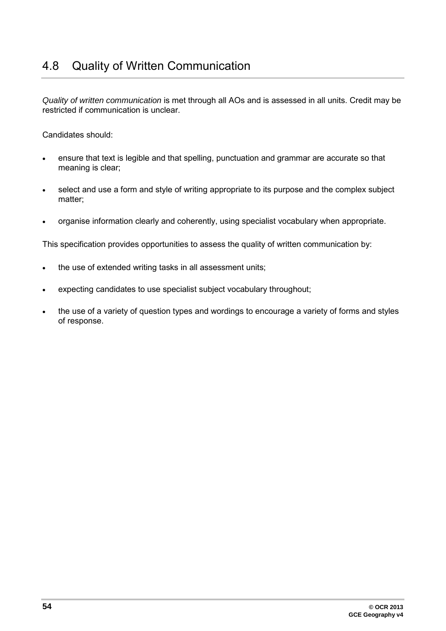<span id="page-53-0"></span>*Quality of written communication* is met through all AOs and is assessed in all units. Credit may be restricted if communication is unclear.

Candidates should:

- ensure that text is legible and that spelling, punctuation and grammar are accurate so that meaning is clear;
- select and use a form and style of writing appropriate to its purpose and the complex subject matter;
- organise information clearly and coherently, using specialist vocabulary when appropriate.

This specification provides opportunities to assess the quality of written communication by:

- the use of extended writing tasks in all assessment units;
- expecting candidates to use specialist subject vocabulary throughout;
- the use of a variety of question types and wordings to encourage a variety of forms and styles of response.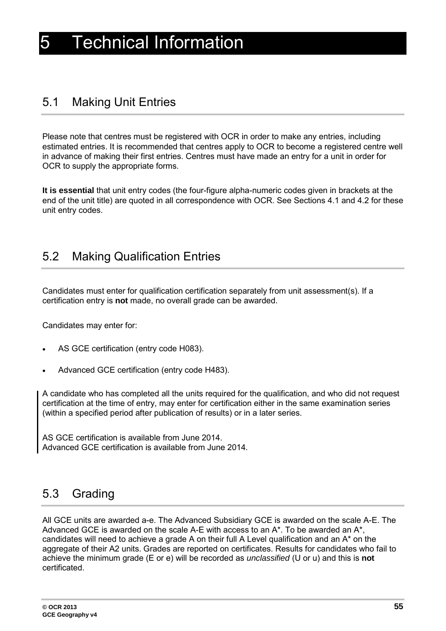## <span id="page-54-1"></span><span id="page-54-0"></span>5.1 Making Unit Entries

Please note that centres must be registered with OCR in order to make any entries, including estimated entries. It is recommended that centres apply to OCR to become a registered centre well in advance of making their first entries. Centres must have made an entry for a unit in order for OCR to supply the appropriate forms.

**It is essential** that unit entry codes (the four-figure alpha-numeric codes given in brackets at the end of the unit title) are quoted in all correspondence with OCR. See Sections 4.1 and 4.2 for these unit entry codes.

## <span id="page-54-2"></span>5.2 Making Qualification Entries

Candidates must enter for qualification certification separately from unit assessment(s). If a certification entry is **not** made, no overall grade can be awarded.

Candidates may enter for:

- AS GCE certification (entry code H083).
- Advanced GCE certification (entry code H483).

A candidate who has completed all the units required for the qualification, and who did not request certification at the time of entry, may enter for certification either in the same examination series (within a specified period after publication of results) or in a later series.

<span id="page-54-3"></span>AS GCE certification is available from June 2014. Advanced GCE certification is available from June 2014.

## 5.3 Grading

All GCE units are awarded a-e. The Advanced Subsidiary GCE is awarded on the scale A-E. The Advanced GCE is awarded on the scale A-E with access to an  $A^*$ . To be awarded an  $A^*$ , candidates will need to achieve a grade A on their full A Level qualification and an A\* on the aggregate of their A2 units. Grades are reported on certificates. Results for candidates who fail to achieve the minimum grade (E or e) will be recorded as *unclassified* (U or u) and this is **not** certificated.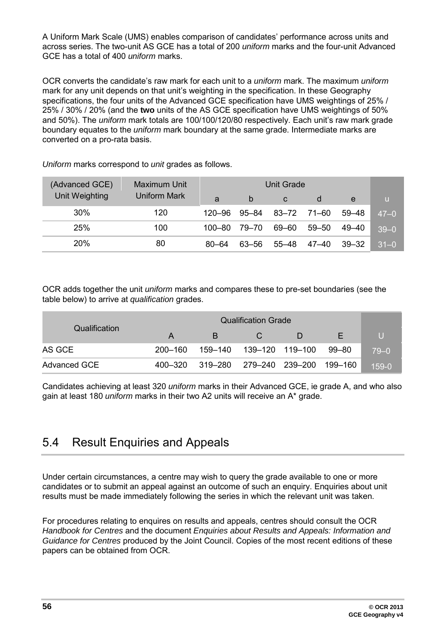A Uniform Mark Scale (UMS) enables comparison of candidates' performance across units and across series. The two-unit AS GCE has a total of 200 *uniform* marks and the four-unit Advanced GCE has a total of 400 *uniform* marks.

OCR converts the candidate's raw mark for each unit to a *uniform* mark. The maximum *uniform* mark for any unit depends on that unit's weighting in the specification. In these Geography specifications, the four units of the Advanced GCE specification have UMS weightings of 25% / 25% / 30% / 20% (and the **two** units of the AS GCE specification have UMS weightings of 50% and 50%). The *uniform* mark totals are 100/100/120/80 respectively. Each unit's raw mark grade boundary equates to the *uniform* mark boundary at the same grade. Intermediate marks are converted on a pro-rata basis.

| (Advanced GCE) | <b>Maximum Unit</b> |           |       |           |       |       |          |
|----------------|---------------------|-----------|-------|-----------|-------|-------|----------|
| Unit Weighting | <b>Uniform Mark</b> | a         | b     | C         |       | e     | u.       |
| $30\%$         | 120                 | 120–96    | 95–84 | 83–72     | 71–60 | 59–48 | $47 - 0$ |
| 25%            | 100                 | 100–80    | 79–70 | 69–60     | 59–50 | 49–40 | $39 - 0$ |
| 20%            | 80                  | $80 - 64$ | 63–56 | $55 - 48$ | 47–40 | 39–32 | $31 - 0$ |

*Uniform* marks correspond to *unit* grades as follows.

OCR adds together the unit *uniform* marks and compares these to pre-set boundaries (see the table below) to arrive at *qualification* grades.

| Qualification       | A       | B.                               | <b>CV</b> | D |  | U        |
|---------------------|---------|----------------------------------|-----------|---|--|----------|
| AS GCE              | 200–160 | 159-140  139-120  119-100  99-80 |           |   |  | $79 - 0$ |
| <b>Advanced GCE</b> | 400–320 | 319–280 279–240 239–200 199–160  |           |   |  | $159-0$  |

<span id="page-55-0"></span>Candidates achieving at least 320 *uniform* marks in their Advanced GCE, ie grade A, and who also gain at least 180 *uniform* marks in their two A2 units will receive an A\* grade.

## 5.4 Result Enquiries and Appeals

Under certain circumstances, a centre may wish to query the grade available to one or more candidates or to submit an appeal against an outcome of such an enquiry. Enquiries about unit results must be made immediately following the series in which the relevant unit was taken.

For procedures relating to enquires on results and appeals, centres should consult the OCR *Handbook for Centres* and the document *Enquiries about Results and Appeals: Information and Guidance for Centres* produced by the Joint Council. Copies of the most recent editions of these papers can be obtained from OCR.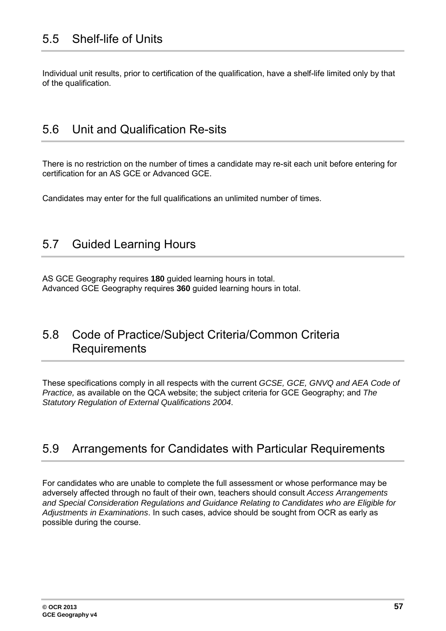<span id="page-56-1"></span><span id="page-56-0"></span>Individual unit results, prior to certification of the qualification, have a shelf-life limited only by that of the qualification.

## 5.6 Unit and Qualification Re-sits

There is no restriction on the number of times a candidate may re-sit each unit before entering for certification for an AS GCE or Advanced GCE.

<span id="page-56-2"></span>Candidates may enter for the full qualifications an unlimited number of times.

## 5.7 Guided Learning Hours

<span id="page-56-3"></span>AS GCE Geography requires **180** guided learning hours in total. Advanced GCE Geography requires **360** guided learning hours in total.

## 5.8 Code of Practice/Subject Criteria/Common Criteria **Requirements**

These specifications comply in all respects with the current *GCSE, GCE, GNVQ and AEA Code of Practice,* as available on the QCA website; the subject criteria for GCE Geography; and *The Statutory Regulation of External Qualifications 2004*.

### <span id="page-56-4"></span>5.9 Arrangements for Candidates with Particular Requirements

For candidates who are unable to complete the full assessment or whose performance may be adversely affected through no fault of their own, teachers should consult *Access Arrangements and Special Consideration Regulations and Guidance Relating to Candidates who are Eligible for Adjustments in Examinations*. In such cases, advice should be sought from OCR as early as possible during the course.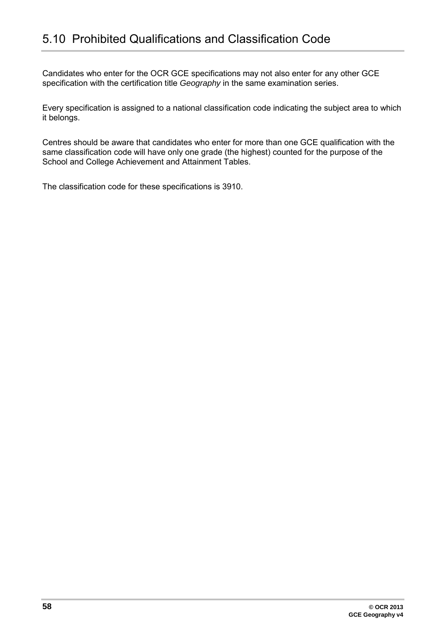<span id="page-57-0"></span>Candidates who enter for the OCR GCE specifications may not also enter for any other GCE specification with the certification title *Geography* in the same examination series.

Every specification is assigned to a national classification code indicating the subject area to which it belongs.

Centres should be aware that candidates who enter for more than one GCE qualification with the same classification code will have only one grade (the highest) counted for the purpose of the School and College Achievement and Attainment Tables.

The classification code for these specifications is 3910.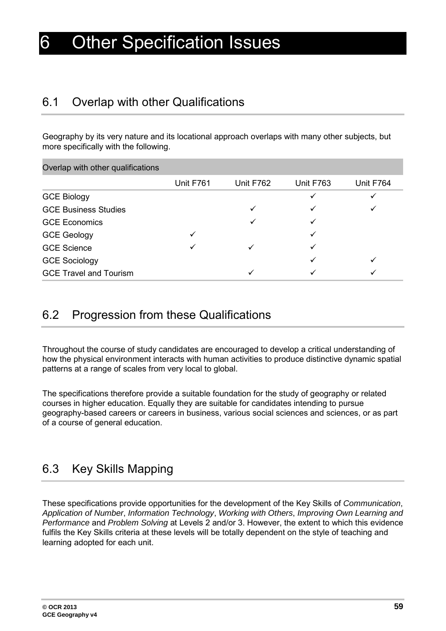## <span id="page-58-1"></span><span id="page-58-0"></span>6.1 Overlap with other Qualifications

Geography by its very nature and its locational approach overlaps with many other subjects, but more specifically with the following.

| Overlap with other qualifications |           |           |           |           |
|-----------------------------------|-----------|-----------|-----------|-----------|
|                                   | Unit F761 | Unit F762 | Unit F763 | Unit F764 |
| <b>GCE Biology</b>                |           |           | ✓         | ✓         |
| <b>GCE Business Studies</b>       |           | ✓         |           |           |
| <b>GCE Economics</b>              |           |           |           |           |
| <b>GCE Geology</b>                | ✓         |           |           |           |
| <b>GCE Science</b>                | ✓         |           |           |           |
| <b>GCE Sociology</b>              |           |           | ✓         |           |
| <b>GCE Travel and Tourism</b>     |           |           |           |           |

## <span id="page-58-2"></span>6.2 Progression from these Qualifications

Throughout the course of study candidates are encouraged to develop a critical understanding of how the physical environment interacts with human activities to produce distinctive dynamic spatial patterns at a range of scales from very local to global.

The specifications therefore provide a suitable foundation for the study of geography or related courses in higher education. Equally they are suitable for candidates intending to pursue geography-based careers or careers in business, various social sciences and sciences, or as part of a course of general education.

## <span id="page-58-3"></span>6.3 Key Skills Mapping

These specifications provide opportunities for the development of the Key Skills of *Communication*, *Application of Number*, *Information Technology*, *Working with Others*, *Improving Own Learning and Performance* and *Problem Solving* at Levels 2 and/or 3. However, the extent to which this evidence fulfils the Key Skills criteria at these levels will be totally dependent on the style of teaching and learning adopted for each unit.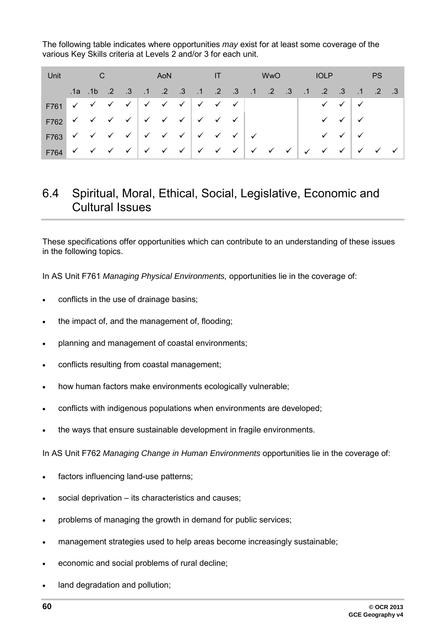The following table indicates where opportunities *may* exist for at least some coverage of the various Key Skills criteria at Levels 2 and/or 3 for each unit.

| Unit                                                                                                                                                                                                                                                                                                                                                                                                                                                                                     | $\overline{C}$ |  | AoN |  | $\blacksquare$ |                                                                | WwO |  | <b>IOLP</b>               |                                        |     | <b>PS</b>                                                        |  |
|------------------------------------------------------------------------------------------------------------------------------------------------------------------------------------------------------------------------------------------------------------------------------------------------------------------------------------------------------------------------------------------------------------------------------------------------------------------------------------------|----------------|--|-----|--|----------------|----------------------------------------------------------------|-----|--|---------------------------|----------------------------------------|-----|------------------------------------------------------------------|--|
|                                                                                                                                                                                                                                                                                                                                                                                                                                                                                          |                |  |     |  |                | 2. 1. 2. 3. 1. 2. 3. 1. 2. 3. 1. 2. 3. 1. 1. 1. 1. 1. 1. 1. 1. |     |  |                           | $\cdot$ .3                             |     | $.1 \t .2 \t .3$                                                 |  |
| F761 $\checkmark$ $\checkmark$ $\checkmark$ $\checkmark$ $\checkmark$ $\checkmark$ $\checkmark$ $\checkmark$ $\checkmark$ $\checkmark$ $\checkmark$ $\checkmark$ $\checkmark$ $\checkmark$                                                                                                                                                                                                                                                                                               |                |  |     |  |                |                                                                |     |  |                           | $\checkmark$ $\checkmark$ $\checkmark$ |     |                                                                  |  |
| F762 $\checkmark$ $\checkmark$ $\checkmark$ $\checkmark$ $\checkmark$ $\checkmark$ $\checkmark$ $\checkmark$ $\checkmark$ $\checkmark$ $\checkmark$ $\checkmark$ $\checkmark$ $\checkmark$ $\checkmark$ $\checkmark$ $\checkmark$ $\checkmark$ $\checkmark$ $\checkmark$ $\checkmark$ $\checkmark$ $\checkmark$ $\checkmark$ $\checkmark$ $\checkmark$ $\checkmark$ $\checkmark$ $\checkmark$ $\checkmark$ $\checkmark$ $\checkmark$ $\checkmark$ $\checkmark$ $\checkmark$ $\checkmark$ |                |  |     |  |                |                                                                |     |  |                           | $\vee$ $\vee$ $\vee$                   |     |                                                                  |  |
| F763 $\checkmark$ $\checkmark$ $\checkmark$ $\checkmark$ $\checkmark$ $\checkmark$ $\checkmark$ $\checkmark$ $\checkmark$ $\checkmark$ $\checkmark$ $\checkmark$ $\checkmark$                                                                                                                                                                                                                                                                                                            |                |  |     |  |                |                                                                |     |  |                           | $\checkmark$ $\checkmark$              | ⊢ ✔ |                                                                  |  |
| F764 $\checkmark$ $\checkmark$ $\checkmark$ $\checkmark$ $\checkmark$ $\checkmark$ $\checkmark$ $\checkmark$ $\checkmark$ $\checkmark$ $\checkmark$ $\checkmark$ $\checkmark$ $\checkmark$ $\checkmark$                                                                                                                                                                                                                                                                                  |                |  |     |  |                |                                                                |     |  | $\checkmark$ $\checkmark$ |                                        |     | $\checkmark$ $\checkmark$ $\checkmark$ $\checkmark$ $\checkmark$ |  |

## <span id="page-59-0"></span>6.4 Spiritual, Moral, Ethical, Social, Legislative, Economic and Cultural Issues

These specifications offer opportunities which can contribute to an understanding of these issues in the following topics.

In AS Unit F761 *Managing Physical Environments,* opportunities lie in the coverage of:

- conflicts in the use of drainage basins;
- the impact of, and the management of, flooding;
- planning and management of coastal environments;
- conflicts resulting from coastal management;
- how human factors make environments ecologically vulnerable;
- conflicts with indigenous populations when environments are developed;
- the ways that ensure sustainable development in fragile environments.

In AS Unit F762 *Managing Change in Human Environments* opportunities lie in the coverage of:

- factors influencing land-use patterns;
- social deprivation its characteristics and causes;
- problems of managing the growth in demand for public services;
- management strategies used to help areas become increasingly sustainable;
- economic and social problems of rural decline;
- land degradation and pollution;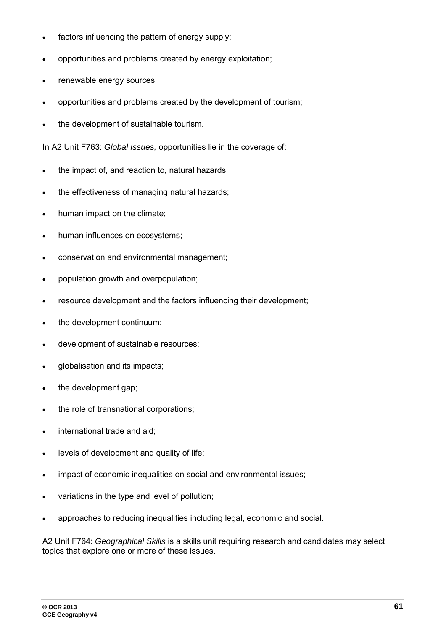- factors influencing the pattern of energy supply;
- opportunities and problems created by energy exploitation;
- renewable energy sources;
- opportunities and problems created by the development of tourism;
- the development of sustainable tourism.

In A2 Unit F763: *Global Issues,* opportunities lie in the coverage of:

- the impact of, and reaction to, natural hazards;
- the effectiveness of managing natural hazards;
- human impact on the climate;
- human influences on ecosystems;
- conservation and environmental management;
- population growth and overpopulation;
- resource development and the factors influencing their development;
- the development continuum;
- development of sustainable resources;
- globalisation and its impacts;
- the development gap;
- the role of transnational corporations;
- international trade and aid:
- levels of development and quality of life;
- impact of economic inequalities on social and environmental issues;
- variations in the type and level of pollution;
- approaches to reducing inequalities including legal, economic and social.

A2 Unit F764: *Geographical Skills* is a skills unit requiring research and candidates may select topics that explore one or more of these issues.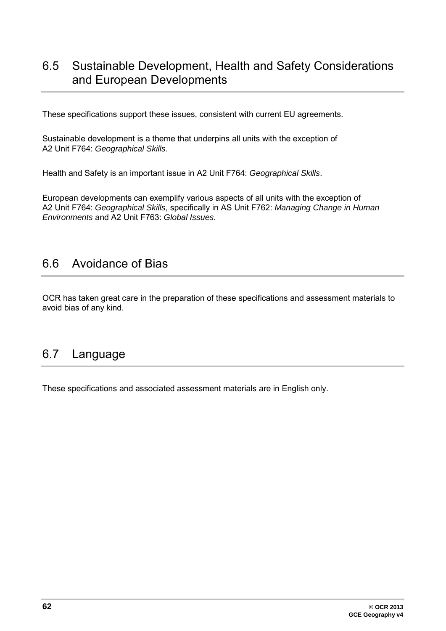## <span id="page-61-0"></span>6.5 Sustainable Development, Health and Safety Considerations and European Developments

These specifications support these issues, consistent with current EU agreements.

Sustainable development is a theme that underpins all units with the exception of A2 Unit F764: *Geographical Skills*.

Health and Safety is an important issue in A2 Unit F764: *Geographical Skills*.

European developments can exemplify various aspects of all units with the exception of A2 Unit F764: *Geographical Skills*, specifically in AS Unit F762: *Managing Change in Human Environments* and A2 Unit F763: *Global Issues*.

## <span id="page-61-1"></span>6.6 Avoidance of Bias

<span id="page-61-2"></span>OCR has taken great care in the preparation of these specifications and assessment materials to avoid bias of any kind.

## 6.7 Language

These specifications and associated assessment materials are in English only.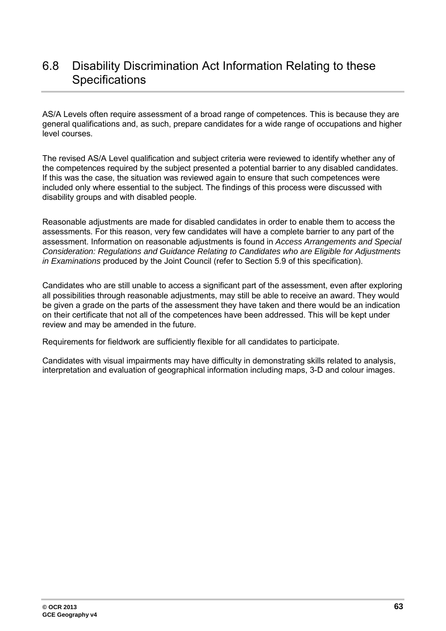## <span id="page-62-0"></span>6.8 Disability Discrimination Act Information Relating to these **Specifications**

AS/A Levels often require assessment of a broad range of competences. This is because they are general qualifications and, as such, prepare candidates for a wide range of occupations and higher level courses.

The revised AS/A Level qualification and subject criteria were reviewed to identify whether any of the competences required by the subject presented a potential barrier to any disabled candidates. If this was the case, the situation was reviewed again to ensure that such competences were included only where essential to the subject. The findings of this process were discussed with disability groups and with disabled people.

Reasonable adjustments are made for disabled candidates in order to enable them to access the assessments. For this reason, very few candidates will have a complete barrier to any part of the assessment. Information on reasonable adjustments is found in *Access Arrangements and Special Consideration: Regulations and Guidance Relating to Candidates who are Eligible for Adjustments in Examinations* produced by the Joint Council (refer to Section 5.9 of this specification).

Candidates who are still unable to access a significant part of the assessment, even after exploring all possibilities through reasonable adjustments, may still be able to receive an award. They would be given a grade on the parts of the assessment they have taken and there would be an indication on their certificate that not all of the competences have been addressed. This will be kept under review and may be amended in the future.

Requirements for fieldwork are sufficiently flexible for all candidates to participate.

Candidates with visual impairments may have difficulty in demonstrating skills related to analysis, interpretation and evaluation of geographical information including maps, 3-D and colour images.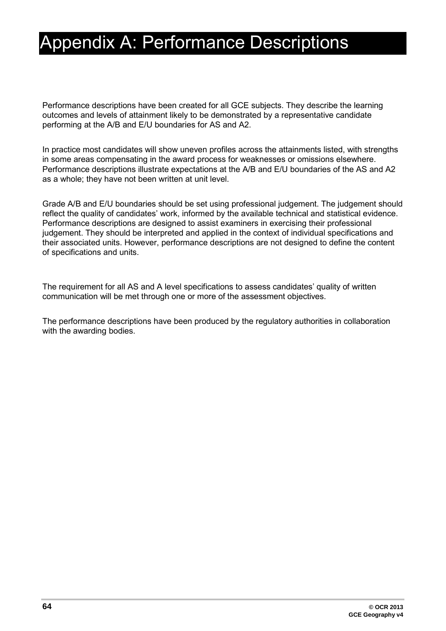# <span id="page-63-0"></span>Appendix A: Performance Descriptions

Performance descriptions have been created for all GCE subjects. They describe the learning outcomes and levels of attainment likely to be demonstrated by a representative candidate performing at the A/B and E/U boundaries for AS and A2.

In practice most candidates will show uneven profiles across the attainments listed, with strengths in some areas compensating in the award process for weaknesses or omissions elsewhere. Performance descriptions illustrate expectations at the A/B and E/U boundaries of the AS and A2 as a whole; they have not been written at unit level.

Grade A/B and E/U boundaries should be set using professional judgement. The judgement should reflect the quality of candidates' work, informed by the available technical and statistical evidence. Performance descriptions are designed to assist examiners in exercising their professional judgement. They should be interpreted and applied in the context of individual specifications and their associated units. However, performance descriptions are not designed to define the content of specifications and units.

The requirement for all AS and A level specifications to assess candidates' quality of written communication will be met through one or more of the assessment objectives.

The performance descriptions have been produced by the regulatory authorities in collaboration with the awarding bodies.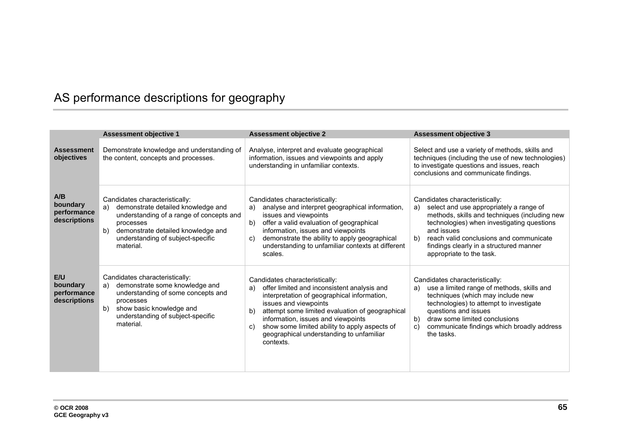## AS performance descriptions for geography

<span id="page-64-0"></span>

|                                                | <b>Assessment objective 1</b>                                                                                                                                                                                                     | <b>Assessment objective 2</b>                                                                                                                                                                                                                                                                                                                                              | <b>Assessment objective 3</b>                                                                                                                                                                                                                                                                                        |
|------------------------------------------------|-----------------------------------------------------------------------------------------------------------------------------------------------------------------------------------------------------------------------------------|----------------------------------------------------------------------------------------------------------------------------------------------------------------------------------------------------------------------------------------------------------------------------------------------------------------------------------------------------------------------------|----------------------------------------------------------------------------------------------------------------------------------------------------------------------------------------------------------------------------------------------------------------------------------------------------------------------|
| <b>Assessment</b><br>objectives                | Demonstrate knowledge and understanding of<br>the content, concepts and processes.                                                                                                                                                | Analyse, interpret and evaluate geographical<br>information, issues and viewpoints and apply<br>understanding in unfamiliar contexts.                                                                                                                                                                                                                                      | Select and use a variety of methods, skills and<br>techniques (including the use of new technologies)<br>to investigate questions and issues, reach<br>conclusions and communicate findings.                                                                                                                         |
| A/B<br>boundary<br>performance<br>descriptions | Candidates characteristically:<br>demonstrate detailed knowledge and<br>a)<br>understanding of a range of concepts and<br>processes<br>demonstrate detailed knowledge and<br>b)<br>understanding of subject-specific<br>material. | Candidates characteristically:<br>analyse and interpret geographical information,<br>a)<br>issues and viewpoints<br>offer a valid evaluation of geographical<br>b)<br>information, issues and viewpoints<br>demonstrate the ability to apply geographical<br>C)<br>understanding to unfamiliar contexts at different<br>scales.                                            | Candidates characteristically:<br>select and use appropriately a range of<br>a)<br>methods, skills and techniques (including new<br>technologies) when investigating questions<br>and issues<br>reach valid conclusions and communicate<br>b)<br>findings clearly in a structured manner<br>appropriate to the task. |
| E/U<br>boundary<br>performance<br>descriptions | Candidates characteristically:<br>demonstrate some knowledge and<br>a)<br>understanding of some concepts and<br>processes<br>show basic knowledge and<br>b)<br>understanding of subject-specific<br>material.                     | Candidates characteristically:<br>offer limited and inconsistent analysis and<br>a)<br>interpretation of geographical information,<br>issues and viewpoints<br>attempt some limited evaluation of geographical<br>b)<br>information, issues and viewpoints<br>show some limited ability to apply aspects of<br>C)<br>geographical understanding to unfamiliar<br>contexts. | Candidates characteristically:<br>use a limited range of methods, skills and<br>a)<br>techniques (which may include new<br>technologies) to attempt to investigate<br>questions and issues<br>draw some limited conclusions<br>b)<br>communicate findings which broadly address<br>C)<br>the tasks.                  |